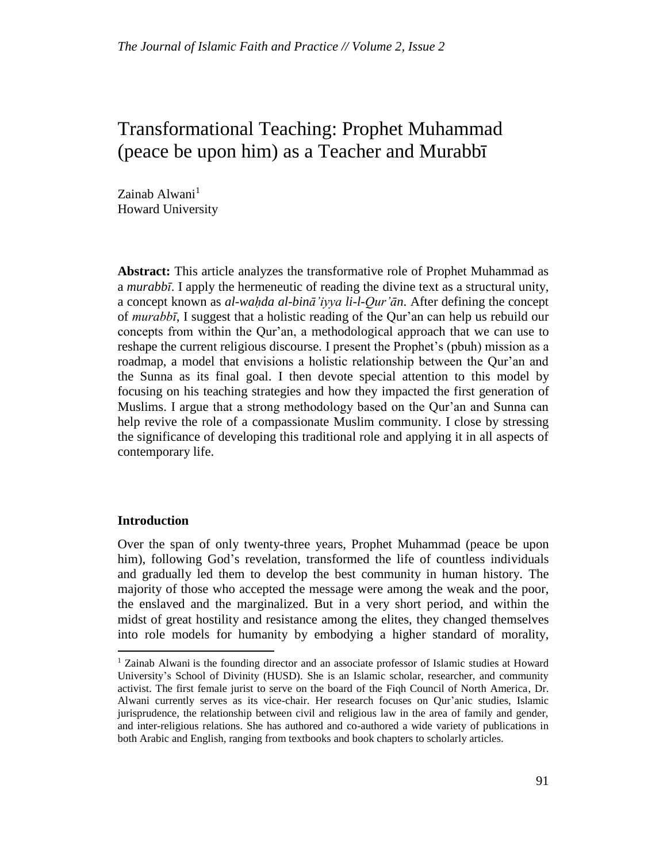# Transformational Teaching: Prophet Muhammad (peace be upon him) as a Teacher and Murabbī

Zainab Alwani<sup>1</sup> Howard University

**Abstract:** This article analyzes the transformative role of Prophet Muhammad as a *murabbī*. I apply the hermeneutic of reading the divine text as a structural unity, a concept known as *al-waḥda al-binā'iyya li-l-Qur'ān*. After defining the concept of *murabbī*, I suggest that a holistic reading of the Qur'an can help us rebuild our concepts from within the Qur'an, a methodological approach that we can use to reshape the current religious discourse. I present the Prophet's (pbuh) mission as a roadmap, a model that envisions a holistic relationship between the Qur'an and the Sunna as its final goal. I then devote special attention to this model by focusing on his teaching strategies and how they impacted the first generation of Muslims. I argue that a strong methodology based on the Qur'an and Sunna can help revive the role of a compassionate Muslim community. I close by stressing the significance of developing this traditional role and applying it in all aspects of contemporary life.

## **Introduction**

 $\overline{\phantom{a}}$ 

Over the span of only twenty-three years, Prophet Muhammad (peace be upon him), following God's revelation, transformed the life of countless individuals and gradually led them to develop the best community in human history. The majority of those who accepted the message were among the weak and the poor, the enslaved and the marginalized. But in a very short period, and within the midst of great hostility and resistance among the elites, they changed themselves into role models for humanity by embodying a higher standard of morality,

<sup>&</sup>lt;sup>1</sup> Zainab Alwani is the founding director and an associate professor of Islamic studies at Howard University's School of Divinity (HUSD). She is an Islamic scholar, researcher, and community activist. The first female jurist to serve on the board of the Fiqh Council of North America, Dr. Alwani currently serves as its vice-chair. Her research focuses on Qur'anic studies, Islamic jurisprudence, the relationship between civil and religious law in the area of family and gender, and inter-religious relations. She has authored and co-authored a wide variety of publications in both Arabic and English, ranging from textbooks and book chapters to scholarly articles.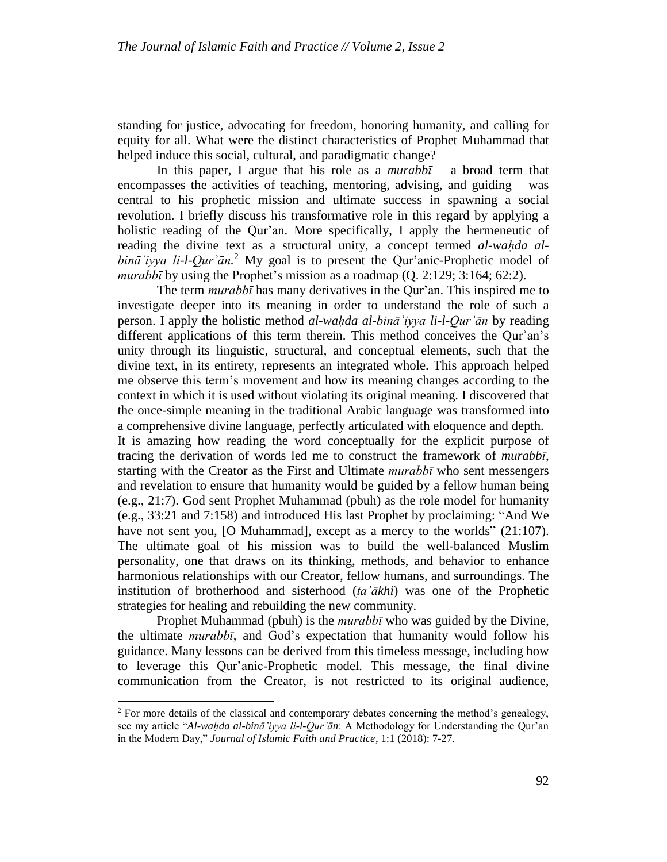standing for justice, advocating for freedom, honoring humanity, and calling for equity for all. What were the distinct characteristics of Prophet Muhammad that helped induce this social, cultural, and paradigmatic change?

In this paper, I argue that his role as a *murabbī –* a broad term that encompasses the activities of teaching, mentoring, advising, and guiding – was central to his prophetic mission and ultimate success in spawning a social revolution. I briefly discuss his transformative role in this regard by applying a holistic reading of the Qur'an. More specifically, I apply the hermeneutic of reading the divine text as a structural unity, a concept termed *al-waḥda albināʾiyya li-l-Qurʾān.* <sup>2</sup> My goal is to present the Qur'anic-Prophetic model of *murabbī* by using the Prophet's mission as a roadmap (Q. 2:129; 3:164; 62:2).

The term *murabbī* has many derivatives in the Qur'an. This inspired me to investigate deeper into its meaning in order to understand the role of such a person. I apply the holistic method *al-waḥda al-bināʾiyya li-l-Qurʾān* by reading different applications of this term therein. This method conceives the Qurʾan's unity through its linguistic, structural, and conceptual elements, such that the divine text, in its entirety, represents an integrated whole. This approach helped me observe this term's movement and how its meaning changes according to the context in which it is used without violating its original meaning. I discovered that the once-simple meaning in the traditional Arabic language was transformed into a comprehensive divine language, perfectly articulated with eloquence and depth. It is amazing how reading the word conceptually for the explicit purpose of tracing the derivation of words led me to construct the framework of *murabbī*, starting with the Creator as the First and Ultimate *murabbī* who sent messengers and revelation to ensure that humanity would be guided by a fellow human being (e.g., 21:7). God sent Prophet Muhammad (pbuh) as the role model for humanity (e.g., 33:21 and 7[:158\)](http://tanzil.net/#trans/en.asad/7:158) and introduced His last Prophet by proclaiming: "And We have not sent you, [O Muhammad], except as a mercy to the worlds" (21[:107\)](http://tanzil.net/#trans/en.sahih/21:107). The ultimate goal of his mission was to build the well-balanced Muslim personality, one that draws on its thinking, methods, and behavior to enhance harmonious relationships with our Creator, fellow humans, and surroundings. The institution of brotherhood and sisterhood (*ta'ākhi*) was one of the Prophetic strategies for healing and rebuilding the new community.

Prophet Muhammad (pbuh) is the *murabbī* who was guided by the Divine, the ultimate *murabbī*, and God's expectation that humanity would follow his guidance. Many lessons can be derived from this timeless message, including how to leverage this Qur'anic-Prophetic model. This message, the final divine communication from the Creator, is not restricted to its original audience,

<sup>&</sup>lt;sup>2</sup> For more details of the classical and contemporary debates concerning the method's genealogy, see my article "*Al-waḥda al-binā'iyya li-l-Qur'ān*: A Methodology for Understanding the Qur'an in the Modern Day," *Journal of Islamic Faith and Practice*, 1:1 (2018): 7-27.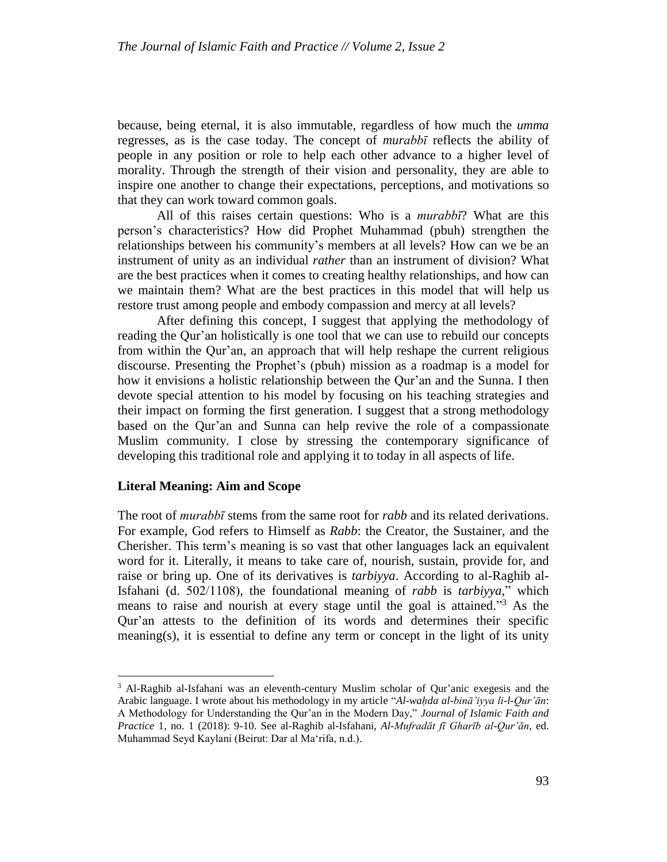because, being eternal, it is also immutable, regardless of how much the *umma* regresses, as is the case today. The concept of *murabbī* reflects the ability of people in any position or role to help each other advance to a higher level of morality. Through the strength of their vision and personality, they are able to inspire one another to change their expectations, perceptions, and [motivations](https://www.verywellmind.com/what-is-motivation-2795378) so that they can work toward common goals.

All of this raises certain questions: Who is a *murabbī*? What are this person's characteristics? How did Prophet Muhammad (pbuh) strengthen the relationships between his community's members at all levels? How can we be an instrument of unity as an individual *rather* than an instrument of division? What are the best practices when it comes to creating healthy relationships, and how can we maintain them? What are the best practices in this model that will help us restore trust among people and embody compassion and mercy at all levels?

After defining this concept, I suggest that applying the methodology of reading the Qur'an holistically is one tool that we can use to rebuild our concepts from within the Qur'an, an approach that will help reshape the current religious discourse. Presenting the Prophet's (pbuh) mission as a roadmap is a model for how it envisions a holistic relationship between the Qur'an and the Sunna. I then devote special attention to his model by focusing on his teaching strategies and their impact on forming the first generation. I suggest that a strong methodology based on the Qur'an and Sunna can help revive the role of a compassionate Muslim community. I close by stressing the contemporary significance of developing this traditional role and applying it to today in all aspects of life.

### **Literal Meaning: Aim and Scope**

l

The root of *murabbī* stems from the same root for *rabb* and its related derivations. For example, God refers to Himself as *Rabb*: the Creator, the Sustainer, and the Cherisher. This term's meaning is so vast that other languages lack an equivalent word for it. Literally, it means to take care of, nourish, sustain, provide for, and raise or bring up. One of its derivatives is *tarbiyya*. According to al-Raghib al-Isfahani (d.  $502/1108$ ), the foundational meaning of *rabb* is *tarbiyya*,<sup>"</sup> which means to raise and nourish at every stage until the goal is attained."<sup>3</sup> As the Qur'an attests to the definition of its words and determines their specific meaning(s), it is essential to define any term or concept in the light of its unity

<sup>3</sup> Al-Raghib al-Isfahani was an eleventh-century [Muslim scholar](https://en.wikipedia.org/wiki/Islamic_scholar) of [Qur'anic](https://en.wikipedia.org/wiki/Quran) [exegesis](https://en.wikipedia.org/wiki/Tafsir) and the [Arabic language.](https://en.wikipedia.org/wiki/Arabic_language) I wrote about his methodology in my article "*Al-waḥda al-binā'iyya li-l-Qur'ān*: A Methodology for Understanding the Qur'an in the Modern Day," *Journal of Islamic Faith and Practice* 1, no. 1 (2018): 9-10. See al-Raghib al-Isfahani, *Al-Mufradāt fī [Gharīb al-Qur'ān,](https://en.wikipedia.org/wiki/Al-Mufradat_fi_Gharib_al-Quran)* ed. Muhammad Seyd Kaylani (Beirut: Dar al Ma'rifa, n.d.).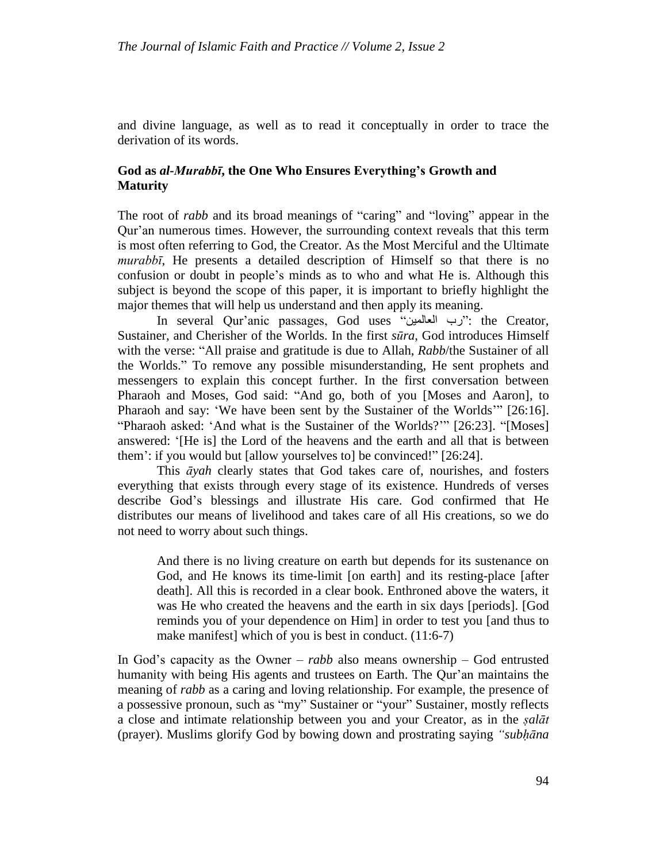and divine language, as well as to read it conceptually in order to trace the derivation of its words.

# **God as** *al-Murabbī***, the One Who Ensures Everything's Growth and Maturity**

The root of *rabb* and its broad meanings of "caring" and "loving" appear in the Qur'an numerous times. However, the surrounding context reveals that this term is most often referring to God, the Creator. As the Most Merciful and the Ultimate *murabbī*, He presents a detailed description of Himself so that there is no confusion or doubt in people's minds as to who and what He is. Although this subject is beyond the scope of this paper, it is important to briefly highlight the major themes that will help us understand and then apply its meaning.

In several Qur'anic passages, God uses "العالمين رب": the Creator, Sustainer, and Cherisher of the Worlds. In the first *s[ūra](https://en.wikipedia.org/wiki/Surah)*, God introduces Himself with the verse: "All praise and gratitude is due to Allah, *Rabb*/the Sustainer of all the Worlds." To remove any possible misunderstanding, He sent prophets and messengers to explain this concept further. In the first conversation between Pharaoh and Moses, God said: "And go, both of you [Moses and Aaron], to Pharaoh and say: 'We have been sent by the Sustainer of the Worlds'" [26:16]. "Pharaoh asked: 'And what is the Sustainer of the Worlds?'" [26:23]. "[Moses] answered: '[He is] the Lord of the heavens and the earth and all that is between them': if you would but [allow yourselves to] be convinced!" [26:24].

This *āyah* clearly states that God takes care of, nourishes, and fosters everything that exists through every stage of its existence. Hundreds of verses describe God's blessings and illustrate His care. God confirmed that He distributes our means of livelihood and takes care of all His creations, so we do not need to worry about such things.

And there is no living creature on earth but depends for its sustenance on God, and He knows its time-limit [on earth] and its resting-place [after death]. All this is recorded in a clear book. Enthroned above the waters, it was He who created the heavens and the earth in six days [periods]. [God reminds you of your dependence on Him] in order to test you [and thus to make manifest] which of you is best in conduct. (11:6-7)

In God's capacity as the Owner – *rabb* also means ownership – God entrusted humanity with being His agents and trustees on Earth. The Qur'an maintains the meaning of *rabb* as a caring and loving relationship. For example, the presence of a possessive pronoun, such as "my" Sustainer or "your" Sustainer, mostly reflects a close and intimate relationship between you and your Creator, as in the *ṣalāt* (prayer). Muslims glorify God by bowing down and prostrating saying *"subḥāna*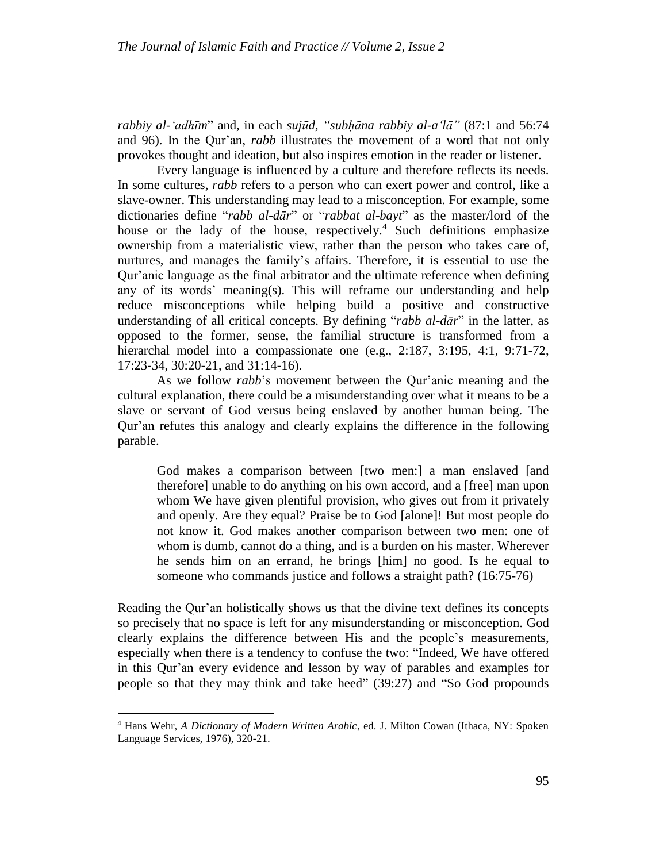*rabbiy al-'adhīm*" and, in each *sujūd, "subḥāna rabbiy al-a'lā"* (87:1 and 56:74 and 96). In the Qur'an, *rabb* illustrates the movement of a word that not only provokes thought and ideation, but also inspires emotion in the reader or listener.

Every language is influenced by a culture and therefore reflects its needs. In some cultures, *rabb* refers to a person who can exert power and control, like a slave-owner. This understanding may lead to a misconception. For example, some dictionaries define "*rabb al-dār*" or "*rabbat al-bayt*" as the master/lord of the house or the lady of the house, respectively.<sup>4</sup> Such definitions emphasize ownership from a materialistic view, rather than the person who takes care of, nurtures, and manages the family's affairs. Therefore, it is essential to use the Qur'anic language as the final arbitrator and the ultimate reference when defining any of its words' meaning(s). This will reframe our understanding and help reduce misconceptions while helping build a positive and constructive understanding of all critical concepts. By defining "*rabb al-dār*" in the latter, as opposed to the former, sense, the familial structure is transformed from a hierarchal model into a compassionate one (e.g., 2:187, 3:195, 4:1, 9[:71-](http://tanzil.net/#trans/en.asad/9:71)72, 17:23-34, 30:20-21, and 31:14-16).

As we follow *rabb*'s movement between the Qur'anic meaning and the cultural explanation, there could be a misunderstanding over what it means to be a slave or servant of God versus being enslaved by another human being. The Qur'an refutes this analogy and clearly explains the difference in the following parable.

God makes a comparison between [two men:] a man enslaved [and therefore] unable to do anything on his own accord, and a [free] man upon whom We have given plentiful provision, who gives out from it privately and openly. Are they equal? Praise be to God [alone]! But most people do not know it. God makes another comparison between two men: one of whom is dumb, cannot do a thing, and is a burden on his master. Wherever he sends him on an errand, he brings [him] no good. Is he equal to someone who commands justice and follows a straight path? (16:75[-76\)](http://tanzil.net/#trans/en.wahiduddin/16:76)

Reading the Qur'an holistically shows us that the divine text defines its concepts so precisely that no space is left for any misunderstanding or misconception. God clearly explains the difference between His and the people's measurements, especially when there is a tendency to confuse the two: "Indeed, We have offered in this Qur'an every evidence and lesson by way of parables and examples for people so that they may think and take heed" (39:27) and "So God propounds

 $\overline{a}$ 

<sup>4</sup> [Hans Wehr,](https://en.wikipedia.org/wiki/Hans_Wehr) *[A Dictionary of Modern Written Arabic](https://en.wikipedia.org/wiki/Dictionary_of_Modern_Written_Arabic)*, ed. J. Milton Cowan (Ithaca, NY: Spoken Language Services, 1976), 320-21.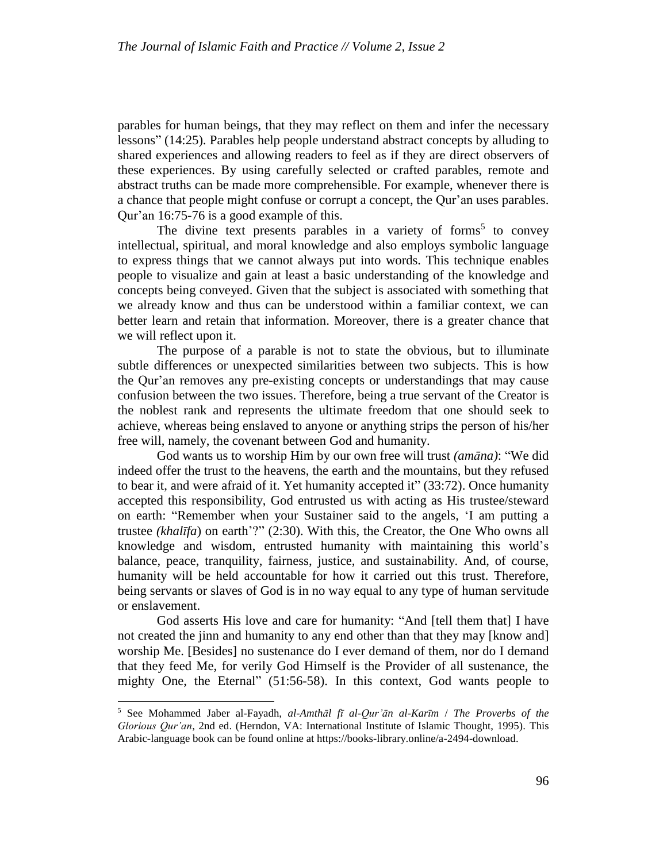parables for human beings, that they may reflect on them and infer the necessary lessons" (14:25). Parables help people understand abstract concepts by alluding to shared experiences and allowing readers to feel as if they are direct observers of these experiences. By using carefully selected or crafted parables, remote and abstract truths can be made more comprehensible. For example, whenever there is a chance that people might confuse or corrupt a concept, the Qur'an uses [parables.](https://en.wikipedia.org/wiki/Parable) Qur'an 16:75-76 is a good example of this.

The divine text presents parables in a variety of forms<sup>5</sup> to convey intellectual, spiritual, and moral knowledge and also employs symbolic language to express things that we cannot always put into words. This technique enables people to visualize and gain at least a basic understanding of the knowledge and concepts being conveyed. Given that the subject is associated with something that we already know and thus can be understood within a familiar context, we can better learn and retain that information. Moreover, there is a greater chance that we will reflect upon it.

The purpose of a parable is not to state the obvious, but to illuminate subtle differences or unexpected similarities between two subjects. This is how the Qur'an removes any pre-existing concepts or understandings that may cause confusion between the two issues. Therefore, being a true servant of the Creator is the noblest rank and represents the ultimate freedom that one should seek to achieve, whereas being enslaved to anyone or anything strips the person of his/her free will, namely, the covenant between God and humanity.

God wants us to worship Him by our own free will trust *(amāna)*: "We did indeed offer the trust to the heavens, the earth and the mountains, but they refused to bear it, and were afraid of it. Yet humanity accepted it" (33:72). Once humanity accepted this responsibility, God entrusted us with acting as His trustee/steward on earth: "Remember when your Sustainer said to the angels, 'I am putting a trustee *(khalīfa*) on earth'?" (2:30). With this, the Creator, the One Who owns all knowledge and wisdom, entrusted humanity with maintaining this world's balance, peace, tranquility, fairness, justice, and sustainability. And, of course, humanity will be held accountable for how it carried out this trust. Therefore, being servants or slaves of God is in no way equal to any type of human servitude or enslavement.

God asserts His love and care for humanity: "And [tell them that] I have not created the jinn and humanity to any end other than that they may [know and] worship Me. [Besides] no sustenance do I ever demand of them, nor do I demand that they feed Me, for verily God Himself is the Provider of all sustenance, the mighty One, the Eternal" (51:56[-58\)](http://tanzil.net/#trans/en.asad/51:58). In this context, God wants people to

<sup>5</sup> See Mohammed Jaber al-Fayadh, *al-Amthāl fī al-Qur'ān al-Karīm* / *The Proverbs of the Glorious Qur'an*, 2nd ed. (Herndon, VA: International Institute of Islamic Thought, 1995). This Arabic-language book can be found online at https://books-library.online/a-2494-download.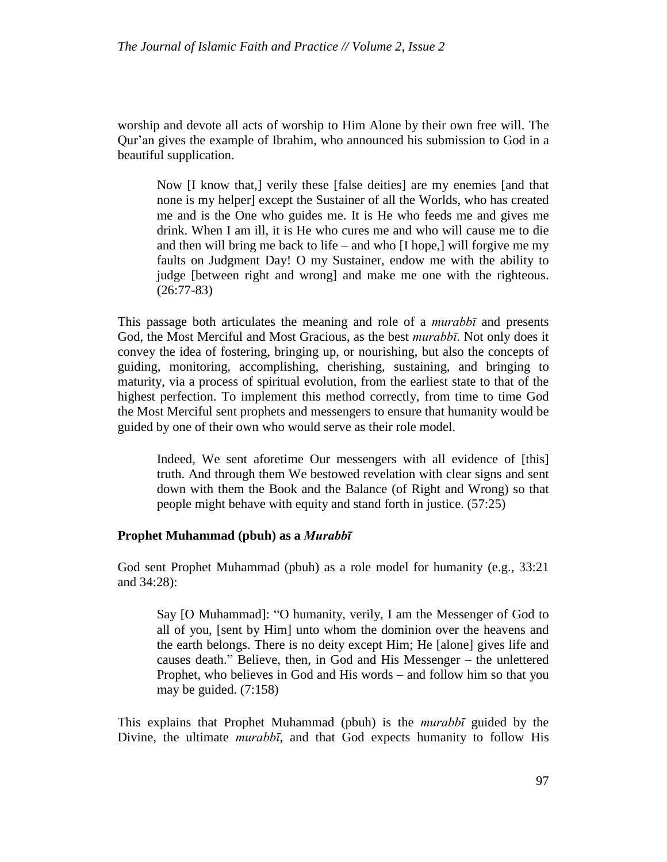worship and devote all acts of worship to Him Alone by their own free will. The Qur'an gives the example of Ibrahim, who announced his submission to God in a beautiful supplication.

Now [I know that,] verily these [false deities] are my enemies [and that none is my helper] except the Sustainer of all the Worlds, who has created me and is the One who guides me. It is He who feeds me and gives me drink. When I am ill, it is He who cures me and who will cause me to die and then will bring me back to life – and who [I hope,] will forgive me my faults on Judgment Day! O my Sustainer, endow me with the ability to judge [between right and wrong] and make me one with the righteous. (26:77[-83\)](http://tanzil.net/#trans/en.asad/26:83)

This passage both articulates the meaning and role of a *murabbī* and presents God, the Most Merciful and Most Gracious, as the best *murabbī*. Not only does it convey the idea of fostering, bringing up, or nourishing, but also the concepts of guiding, monitoring, accomplishing, cherishing, sustaining, and bringing to maturity, via a process of spiritual evolution, from the earliest state to that of the highest perfection. To implement this method correctly, from time to time God the Most Merciful sent prophets and messengers to ensure that humanity would be guided by one of their own who would serve as their role model.

Indeed, We sent aforetime Our messengers with all evidence of [this] truth. And through them We bestowed revelation with clear signs and sent down with them the Book and the Balance (of Right and Wrong) so that people might behave with equity and stand forth in justice. (57:25)

## **Prophet Muhammad (pbuh) as a** *Murabbī*

God sent Prophet Muhammad (pbuh) as a role model for humanity (e.g., 33:21 and 34:28):

Say [O Muhammad]: "O humanity, verily, I am the Messenger of God to all of you, [sent by Him] unto whom the dominion over the heavens and the earth belongs. There is no deity except Him; He [alone] gives life and causes death." Believe, then, in God and His Messenger – the unlettered Prophet, who believes in God and His words – and follow him so that you may be guided. (7[:158\)](http://tanzil.net/#trans/en.asad/7:158)

This explains that Prophet Muhammad (pbuh) is the *murabbī* guided by the Divine, the ultimate *murabbī*, and that God expects humanity to follow His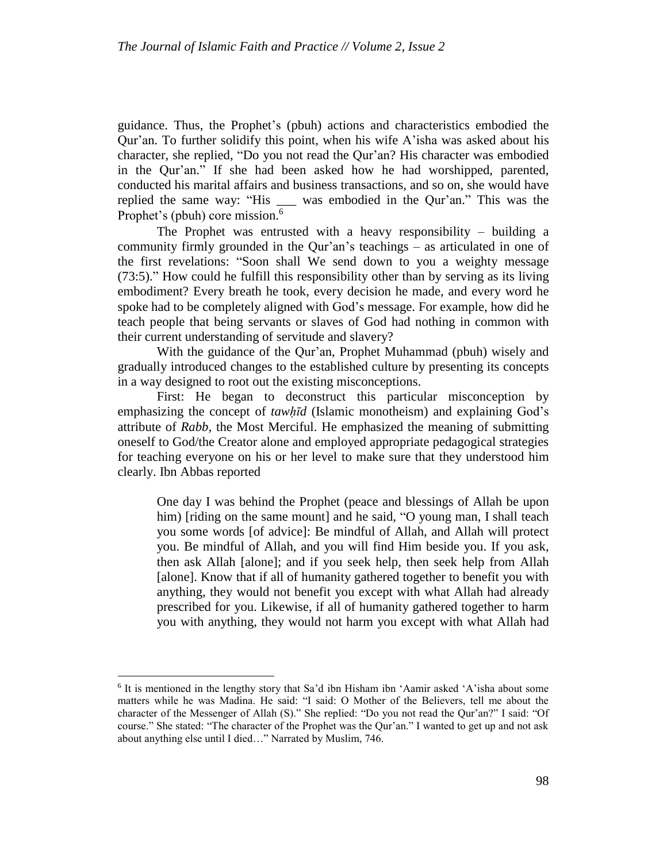guidance. Thus, the Prophet's (pbuh) actions and characteristics embodied the Qur'an. To further solidify this point, when his wife A'isha was asked about his character, she replied, "Do you not read the Qur'an? His character was embodied in the Qur'an." If she had been asked how he had worshipped, parented, conducted his marital affairs and business transactions, and so on, she would have replied the same way: "His \_\_\_ was embodied in the Qur'an." This was the Prophet's (pbuh) core mission.<sup>6</sup>

The Prophet was entrusted with a heavy responsibility – building a community firmly grounded in the Qur'an's teachings – as articulated in one of the first revelations: "Soon shall We send down to you a weighty message (73[:5\)](http://tanzil.net/#trans/en.yusufali/73:5)." How could he fulfill this responsibility other than by serving as its living embodiment? Every breath he took, every decision he made, and every word he spoke had to be completely aligned with God's message. For example, how did he teach people that being servants or slaves of God had nothing in common with their current understanding of servitude and slavery?

With the guidance of the Qur'an, Prophet Muhammad (pbuh) wisely and gradually introduced changes to the established culture by presenting its concepts in a way designed to root out the existing misconceptions.

First: He began to deconstruct this particular misconception by emphasizing the concept of *tawhīd* (Islamic monotheism) and explaining God's attribute of *Rabb*, the Most Merciful. He emphasized the meaning of submitting oneself to God/the Creator alone and employed appropriate pedagogical strategies for teaching everyone on his or her level to make sure that they understood him clearly. Ibn Abbas reported

One day I was behind the Prophet (peace and blessings of Allah be upon him) [riding on the same mount] and he said, "O young man, I shall teach you some words [of advice]: Be mindful of Allah, and Allah will protect you. Be mindful of Allah, and you will find Him beside you. If you ask, then ask Allah [alone]; and if you seek help, then seek help from Allah [alone]. Know that if all of humanity gathered together to benefit you with anything, they would not benefit you except with what Allah had already prescribed for you. Likewise, if all of humanity gathered together to harm you with anything, they would not harm you except with what Allah had

l

<sup>6</sup> It is mentioned in the lengthy story that Sa'd ibn Hisham ibn 'Aamir asked 'A'isha about some matters while he was Madina. He said: "I said: O Mother of the Believers, tell me about the character of the Messenger of Allah (S)." She replied: "Do you not read the Qur'an?" I said: "Of course." She stated: "The character of the Prophet was the Qur'an." I wanted to get up and not ask about anything else until I died…" Narrated by Muslim, 746.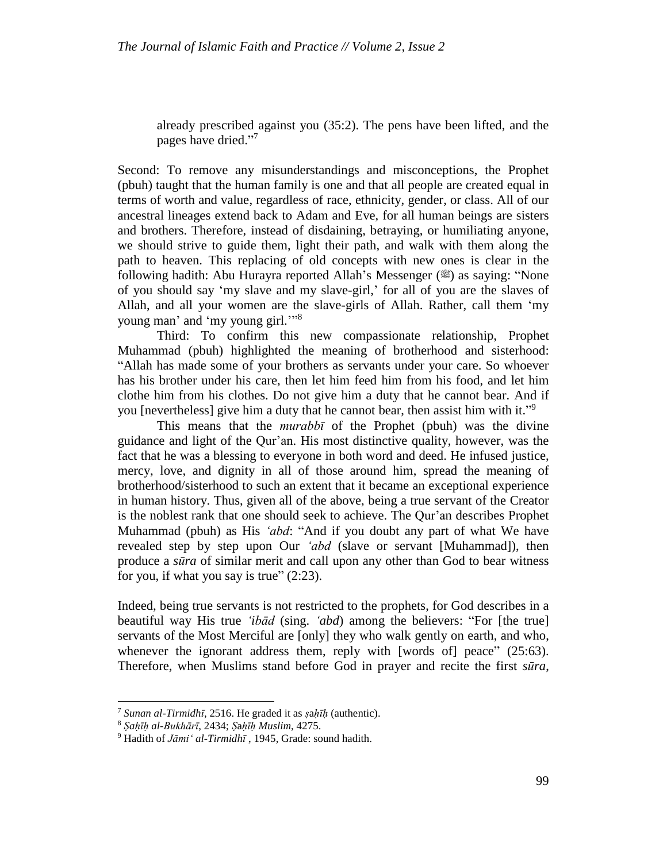already prescribed against you (35:2). The pens have been lifted, and the pages have dried."7

Second: To remove any misunderstandings and misconceptions, the Prophet (pbuh) taught that the human family is one and that all people are created equal in terms of worth and value, regardless of race, ethnicity, gender, or class. All of our ancestral lineages extend back to Adam and Eve, for all human beings are sisters and brothers. Therefore, instead of disdaining, betraying, or humiliating anyone, we should strive to guide them, light their path, and walk with them along the path to heaven. This replacing of old concepts with new ones is clear in the following hadith: Abu Hurayra reported Allah's Messenger ( $\ddot{\mathcal{E}}$ ) as saying: "None of you should say 'my slave and my slave-girl,' for all of you are the slaves of Allah, and all your women are the slave-girls of Allah. Rather, call them 'my young man' and 'my young girl.'"<sup>8</sup>

Third: To confirm this new compassionate relationship, Prophet Muhammad (pbuh) highlighted the meaning of brotherhood and sisterhood: "Allah has made some of your brothers as servants under your care. So whoever has his brother under his care, then let him feed him from his food, and let him clothe him from his clothes. Do not give him a duty that he cannot bear. And if you [nevertheless] give him a duty that he cannot bear, then assist him with it."<sup>9</sup>

This means that the *murabbī* of the Prophet (pbuh) was the divine guidance and light of the Qur'an. His most distinctive quality, however, was the fact that he was a blessing to everyone in both word and deed. He infused justice, mercy, love, and dignity in all of those around him, spread the meaning of brotherhood/sisterhood to such an extent that it became an exceptional experience in human history. Thus, given all of the above, being a true servant of the Creator is the noblest rank that one should seek to achieve. The Qur'an describes Prophet Muhammad (pbuh) as His *'abd*: "And if you doubt any part of what We have revealed step by step upon Our *'abd* (slave or servant [Muhammad]), then produce a *sūra* of similar merit and call upon any other than God to bear witness for you, if what you say is true"  $(2:23)$  $(2:23)$ .

Indeed, being true servants is not restricted to the prophets, for God describes in a beautiful way His true *'ibād* (sing. *'abd*) among the believers: "For [the true] servants of the Most Merciful are [only] they who walk gently on earth, and who, whenever the ignorant address them, reply with [words of] peace" (25[:63\)](http://tanzil.net/#trans/en.asad/25:63). Therefore, when Muslims stand before God in prayer and recite the first *sūra*,

<sup>7</sup> *Sunan al-Tirmidhī,* 2516. He graded it as *ṣ*a*ḥīḥ* (authentic).

<sup>8</sup> *Ṣaḥīḥ al-Bukhārī*, 2434; *Ṣ*a*ḥīḥ Muslim*, 4275.

<sup>9</sup> Hadith of *Jāmi' al-Tirmidhī* , 1945, Grade: sound hadith.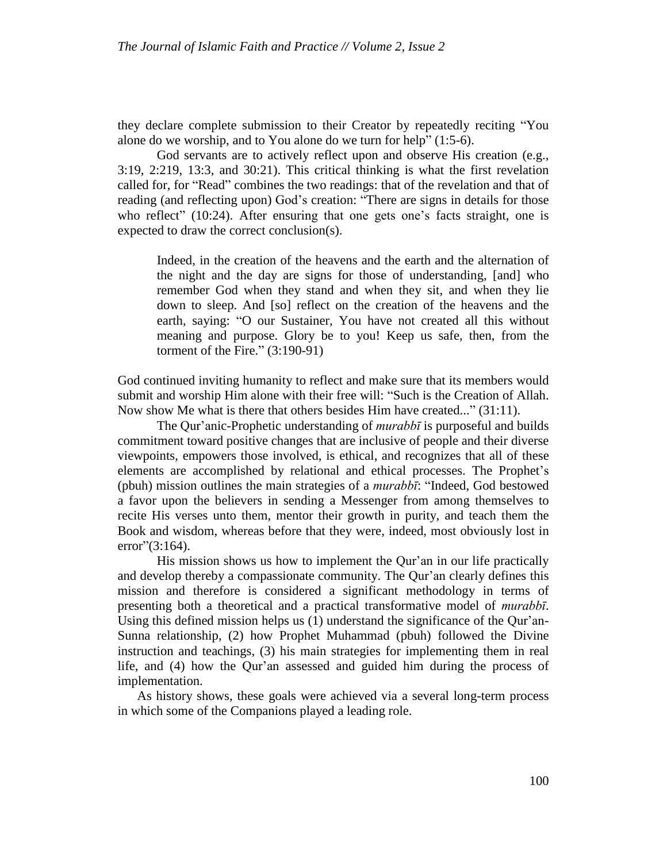they declare complete submission to their Creator by repeatedly reciting "You alone do we worship, and to You alone do we turn for help" (1[:5-](http://tanzil.net/#trans/en.asad/1:5)6).

God servants are to actively reflect upon and observe His creation (e.g., 3:19, 2:219, 13:3, and 30:21). This critical thinking is what the first revelation called for, for "Read" combines the two readings: that of the revelation and that of reading (and reflecting upon) God's creation: "There are signs in details for those who reflect" (10:24). After ensuring that one gets one's facts straight, one is expected to draw the correct conclusion(s).

Indeed, in the creation of the heavens and the earth and the alternation of the night and the day are signs for those of understanding, [and] who remember God when they stand and when they sit, and when they lie down to sleep. And [so] reflect on the creation of the heavens and the earth, saying: "O our Sustainer, You have not created all this without meaning and purpose. Glory be to you! Keep us safe, then, from the torment of the Fire." (3:190[-91\)](http://tanzil.net/#trans/en.wahiduddin/3:191)

God continued inviting humanity to reflect and make sure that its members would submit and worship Him alone with their free will: "Such is the Creation of Allah. Now show Me what is there that others besides Him have created..." [\(31:11\)](http://www.islamicity.com/MOSQUE/ARABICSCRIPT/AYAT/31/31_11.htm).

The Qur'anic-Prophetic understanding of *murabbī* is purposeful and builds commitment toward positive changes that are inclusive of people and their diverse viewpoints, empowers those involved, is ethical, and recognizes that all of these elements are accomplished by relational and ethical processes. The Prophet's (pbuh) mission outlines the main strategies of a *murabbī*: "Indeed, God bestowed a favor upon the believers in sending a Messenger from among themselves to recite His verses unto them, mentor their growth in purity, and teach them the Book and wisdom, whereas before that they were, indeed, most obviously lost in error"(3[:164\)](http://tanzil.net/).

His mission shows us how to implement the Qur'an in our life practically and develop thereby a compassionate community. The Qur'an clearly defines this mission and therefore is considered a significant methodology in terms of presenting both a theoretical and a practical transformative model of *murabbī*. Using this defined mission helps us (1) understand the significance of the Qur'an-Sunna relationship, (2) how Prophet Muhammad (pbuh) followed the Divine instruction and teachings, (3) his main strategies for implementing them in real life, and (4) how the Qur'an assessed and guided him during the process of implementation.

As history shows, these goals were achieved via a several long-term process in which some of the Companions played a leading role.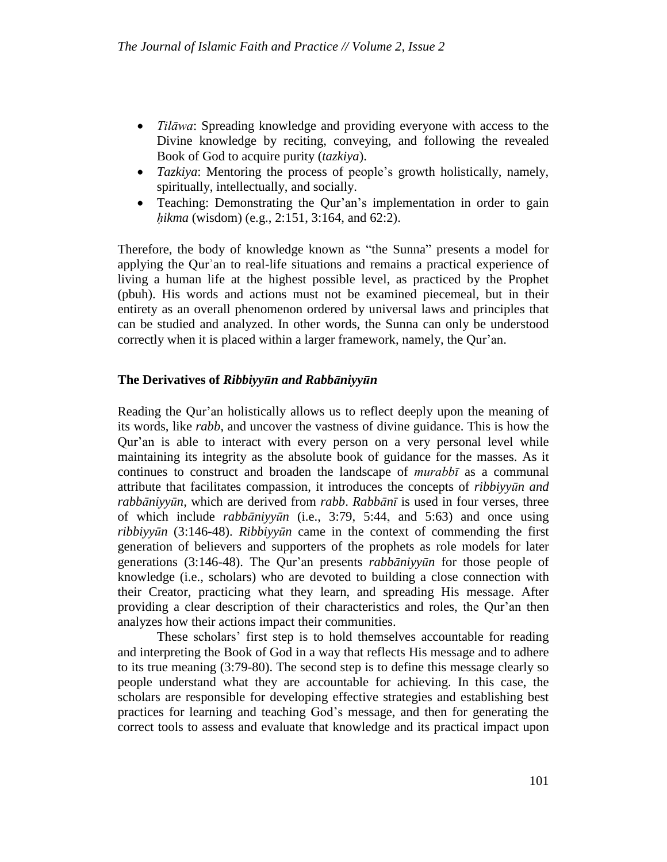- *Tilāwa*: Spreading knowledge and providing everyone with access to the Divine knowledge by reciting, conveying, and following the revealed Book of God to acquire purity (*tazkiya*).
- *Tazkiya*: Mentoring the process of people's growth holistically, namely, spiritually, intellectually, and socially.
- Teaching: Demonstrating the Qur'an's implementation in order to gain *ḥikma* (wisdom) (e.g., 2:151, 3:164, and 62:2).

Therefore, the body of knowledge known as "the Sunna" presents a model for applying the Qurʾan to real-life situations and remains a practical experience of living a human life at the highest possible level, as practiced by the Prophet (pbuh). His words and actions must not be examined piecemeal, but in their entirety as an overall phenomenon ordered by universal laws and principles that can be studied and analyzed. In other words, the Sunna can only be understood correctly when it is placed within a larger framework, namely, the Qur'an.

# **The Derivatives of** *Ribbiyyūn and Rabbāniyyūn*

Reading the Qur'an holistically allows us to reflect deeply upon the meaning of its words, like *rabb*, and uncover the vastness of divine guidance. This is how the Qur'an is able to interact with every person on a very personal level while maintaining its integrity as the absolute book of guidance for the masses. As it continues to construct and broaden the landscape of *murabbī* as a communal attribute that facilitates compassion, it introduces the concepts of *ribbiyyūn and rabbāniyyūn,* which are derived from *rabb*. *Rabbānī* is used in four verses, three of which include *rabbāniyyūn* (i.e., 3:79, 5:44, and 5:63) and once using *ribbiyyūn* (3:146-48). *Ribbiyyūn* came in the context of commending the first generation of believers and supporters of the prophets as role models for later generations (3:146-48). The Qur'an presents *rabbāniyyūn* for those people of knowledge (i.e., scholars) who are devoted to building a close connection with their Creator, practicing what they learn, and spreading His message. After providing a clear description of their characteristics and roles, the Qur'an then analyzes how their actions impact their communities.

These scholars' first step is to hold themselves accountable for reading and interpreting the Book of God in a way that reflects His message and to adhere to its true meaning (3:79-80). The second step is to define this message clearly so people understand what they are accountable for achieving. In this case, the scholars are responsible for developing effective strategies and establishing best practices for learning and teaching God's message, and then for generating the correct tools to assess and evaluate that knowledge and its practical impact upon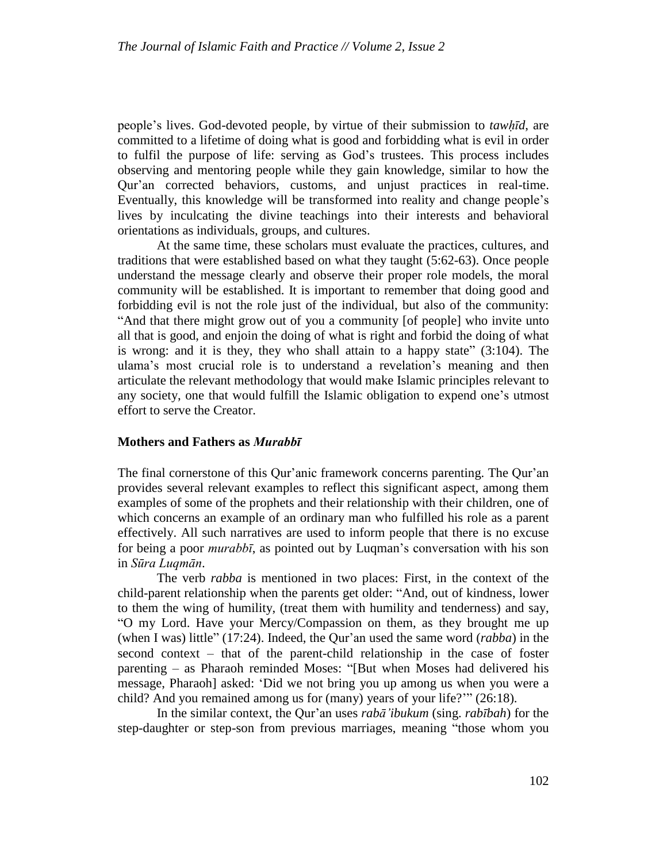people's lives. God-devoted people, by virtue of their submission to *tawḥīd*, are committed to a lifetime of doing what is good and forbidding what is evil in order to fulfil the purpose of life: serving as God's trustees. This process includes observing and mentoring people while they gain knowledge, similar to how the Qur'an corrected behaviors, customs, and unjust practices in real-time. Eventually, this knowledge will be transformed into reality and change people's lives by inculcating the divine teachings into their interests and behavioral orientations as individuals, groups, and cultures.

At the same time, these scholars must evaluate the practices, cultures, and traditions that were established based on what they taught (5:62-63). Once people understand the message clearly and observe their proper role models, the moral community will be established. It is important to remember that doing good and forbidding evil is not the role just of the individual, but also of the community: "And that there might grow out of you a community [of people] who invite unto all that is good, and enjoin the doing of what is right and forbid the doing of what is wrong: and it is they, they who shall attain to a happy state" (3[:104\)](http://tanzil.net/#trans/en.asad/3:104). The ulama's most crucial role is to understand a revelation's meaning and then articulate the relevant methodology that would make Islamic principles relevant to any society, one that would fulfill the Islamic obligation to expend one's utmost effort to serve the Creator.

### **Mothers and Fathers as** *Murabbī*

The final cornerstone of this Qur'anic framework concerns parenting. The Qur'an provides several relevant examples to reflect this significant aspect, among them examples of some of the prophets and their relationship with their children, one of which concerns an example of an ordinary man who fulfilled his role as a parent effectively. All such narratives are used to inform people that there is no excuse for being a poor *murabbī*, as pointed out by Luqman's conversation with his son in *Sūra Luqmān*.

The verb *rabba* is mentioned in two places: First, in the context of the child-parent relationship when the parents get older: "And, out of kindness, lower to them the wing of humility, (treat them with humility and tenderness) and say, "O my Lord. Have your Mercy/Compassion on them, as they brought me up (when I was) little" (17:24). Indeed, the Qur'an used the same word (*rabba*) in the second context – that of the parent-child relationship in the case of foster parenting – as Pharaoh reminded Moses: "[But when Moses had delivered his message, Pharaoh] asked: 'Did we not bring you up among us when you were a child? And you remained among us for (many) years of your life?'" (26:18).

In the similar context, the Qur'an uses *rabā'ibukum* (sing. *rabībah*) for the step-daughter or step-son from previous marriages, meaning "those whom you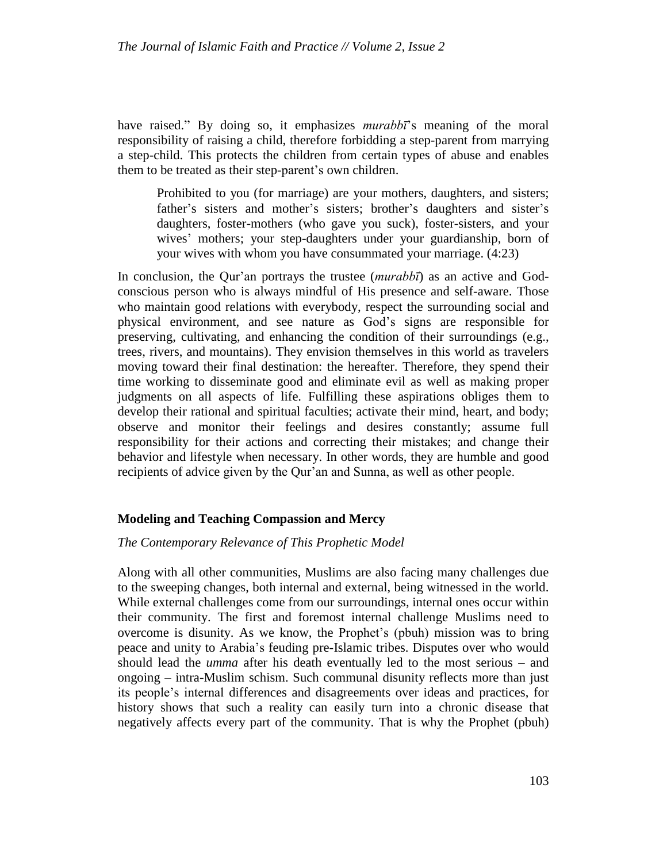have raised." By doing so, it emphasizes *murabbī*'s meaning of the moral responsibility of raising a child, therefore forbidding a step-parent from marrying a step-child. This protects the children from certain types of abuse and enables them to be treated as their step-parent's own children.

Prohibited to you (for marriage) are your mothers, daughters, and sisters; father's sisters and mother's sisters; brother's daughters and sister's daughters, foster-mothers (who gave you suck), foster-sisters, and your wives' mothers; your step-daughters under your guardianship, born of your wives with whom you have consummated your marriage. (4:23)

In conclusion, the Qur'an portrays the trustee (*murabbī*) as an active and Godconscious person who is always mindful of His presence and self-aware. Those who maintain good relations with everybody, respect the surrounding social and physical environment, and see nature as God's signs are responsible for preserving, cultivating, and enhancing the condition of their surroundings (e.g., trees, rivers, and mountains). They envision themselves in this world as travelers moving toward their final destination: the hereafter. Therefore, they spend their time working to disseminate good and eliminate evil as well as making proper judgments on all aspects of life. Fulfilling these aspirations obliges them to develop their rational and spiritual faculties; activate their mind, heart, and body; observe and monitor their feelings and desires constantly; assume full responsibility for their actions and correcting their mistakes; and change their behavior and lifestyle when necessary. In other words, they are humble and good recipients of advice given by the Qur'an and Sunna, as well as other people.

## **Modeling and Teaching Compassion and Mercy**

#### *The Contemporary Relevance of This Prophetic Model*

Along with all other communities, Muslims are also facing many challenges due to the sweeping changes, both internal and external, being witnessed in the world. While external challenges come from our surroundings, internal ones occur within their community. The first and foremost internal challenge Muslims need to overcome is disunity. As we know, the Prophet's (pbuh) mission was to bring peace and unity to Arabia's feuding pre-Islamic tribes. Disputes over who would should lead the *umma* after his death eventually led to the most serious – and ongoing – intra-Muslim schism. Such communal disunity reflects more than just its people's internal differences and disagreements over ideas and practices, for history shows that such a reality can easily turn into a chronic disease that negatively affects every part of the community. That is why the Prophet (pbuh)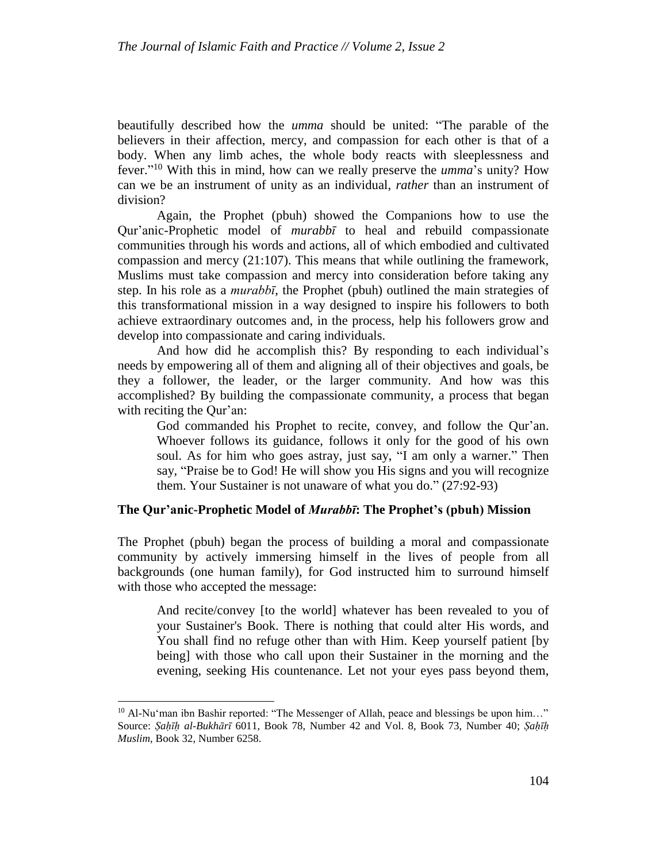beautifully described how the *umma* should be united: "The parable of the believers in their affection, mercy, and compassion for each other is that of a body. When any limb aches, the whole body reacts with sleeplessness and fever." <sup>10</sup> With this in mind, how can we really preserve the *umma*'s unity? How can we be an instrument of unity as an individual, *rather* than an instrument of division?

Again, the Prophet (pbuh) showed the Companions how to use the Qur'anic-Prophetic model of *murabbī* to heal and rebuild compassionate communities through his words and actions, all of which embodied and cultivated compassion and mercy (21[:107\)](http://tanzil.net/#trans/en.sahih/21:107). This means that while outlining the framework, Muslims must take compassion and mercy into consideration before taking any step. In his role as a *murabbī*, the Prophet (pbuh) outlined the main strategies of this transformational mission in a way designed to inspire his followers to both achieve extraordinary outcomes and, in the process, help his followers grow and develop into compassionate and caring individuals.

And how did he accomplish this? By responding to each individual's needs by empowering all of them and aligning all of their objectives and goals, be they a follower, the leader, or the larger community. And how was this accomplished? By building the compassionate community, a process that began with reciting the Qur'an:

God commanded his Prophet to recite, convey, and follow the Qur'an. Whoever follows its guidance, follows it only for the good of his own soul. As for him who goes astray, just say, "I am only a warner." Then say, "Praise be to God! He will show you His signs and you will recognize them. Your Sustainer is not unaware of what you do." (27:92[-93\)](http://tanzil.net/#trans/en.wahiduddin/27:93)

## **The Qur'anic-Prophetic Model of** *Murabbī***: The Prophet's (pbuh) Mission**

The Prophet (pbuh) began the process of building a moral and compassionate community by actively immersing himself in the lives of people from all backgrounds (one human family), for God instructed him to surround himself with those who accepted the message:

And recite/convey [to the world] whatever has been revealed to you of your Sustainer's Book. There is nothing that could alter His words, and You shall find no refuge other than with Him. Keep yourself patient [by being] with those who call upon their Sustainer in the morning and the evening, seeking His countenance. Let not your eyes pass beyond them,

<sup>&</sup>lt;sup>10</sup> Al-Nu'man ibn Bashir reported: "The Messenger of Allah, peace and blessings be upon him..." Source: *Ṣaḥīḥ al-Bukhārī* 6011, Book 78, Number 42 and Vol. 8, Book 73, Number 40; *Ṣaḥīḥ Muslim*, Book 32, Number 6258.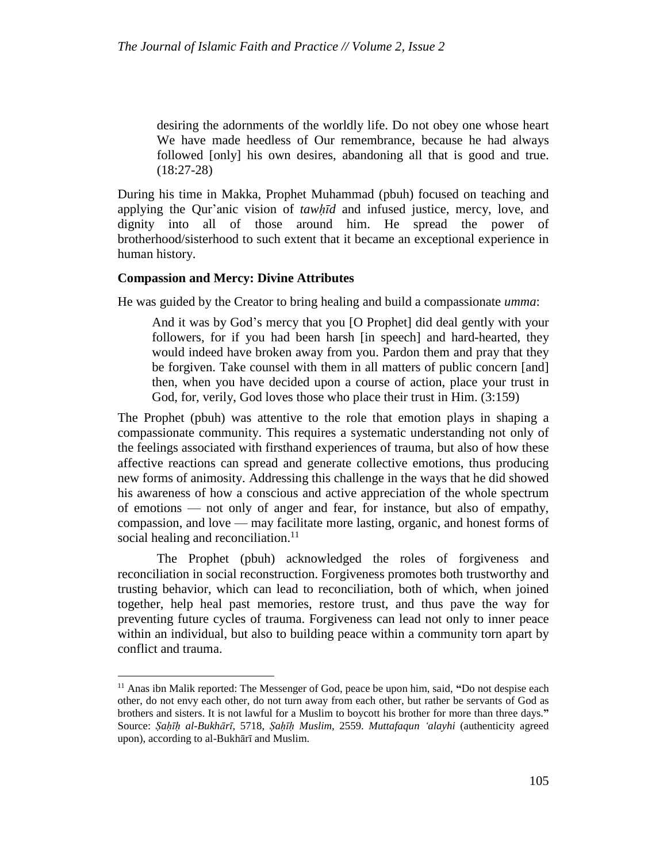desiring the adornments of the worldly life. Do not obey one whose heart We have made heedless of Our remembrance, because he had always followed [only] his own desires, abandoning all that is good and true. (18:27[-28\)](http://tanzil.net/#trans/en.sahih/18:28)

During his time in Makka, Prophet Muhammad (pbuh) focused on teaching and applying the Qur'anic vision of *tawḥīd* and infused justice, mercy, love, and dignity into all of those around him. He spread the power of brotherhood/sisterhood to such extent that it became an exceptional experience in human history.

#### **Compassion and Mercy: Divine Attributes**

l

He was guided by the Creator to bring healing and build a compassionate *umma*:

And it was by God's mercy that you [O Prophet] did deal gently with your followers, for if you had been harsh [in speech] and hard-hearted, they would indeed have broken away from you. Pardon them and pray that they be forgiven. Take counsel with them in all matters of public concern [and] then, when you have decided upon a course of action, place your trust in God, for, verily, God loves those who place their trust in Him. (3[:159\)](http://tanzil.net/#trans/en.asad/3:159)

The Prophet (pbuh) was attentive to the role that emotion plays in shaping a compassionate community. This requires a systematic understanding not only of the feelings associated with firsthand experiences of trauma, but also of how these affective reactions can spread and generate collective emotions, thus producing new forms of animosity. Addressing this challenge in the ways that he did showed his awareness of how a conscious and active appreciation of the whole spectrum of emotions — not only of anger and fear, for instance, but also of empathy, compassion, and love — may facilitate more lasting, organic, and honest forms of social healing and reconciliation.<sup>11</sup>

The Prophet (pbuh) acknowledged the roles of forgiveness and reconciliation in social reconstruction. Forgiveness promotes both trustworthy and trusting behavior, which can lead to reconciliation, both of which, when joined together, help heal past memories, restore trust, and thus pave the way for preventing future cycles of trauma. Forgiveness can lead not only to inner peace within an individual, but also to building peace within a community torn apart by conflict and trauma.

<sup>11</sup> Anas ibn Malik reported: The Messenger of God, peace be upon him, said, **"**Do not despise each other, do not envy each other, do not turn away from each other, but rather be servants of God as brothers and sisters. It is not lawful for a Muslim to boycott his brother for more than three days.**"** Source: *Ṣaḥīḥ al-Bukhārī*, 5718, *Ṣaḥīḥ Muslim*, 2559. *Muttafaqun 'alayhi* (authenticity agreed upon), according to al-Bukhārī and Muslim.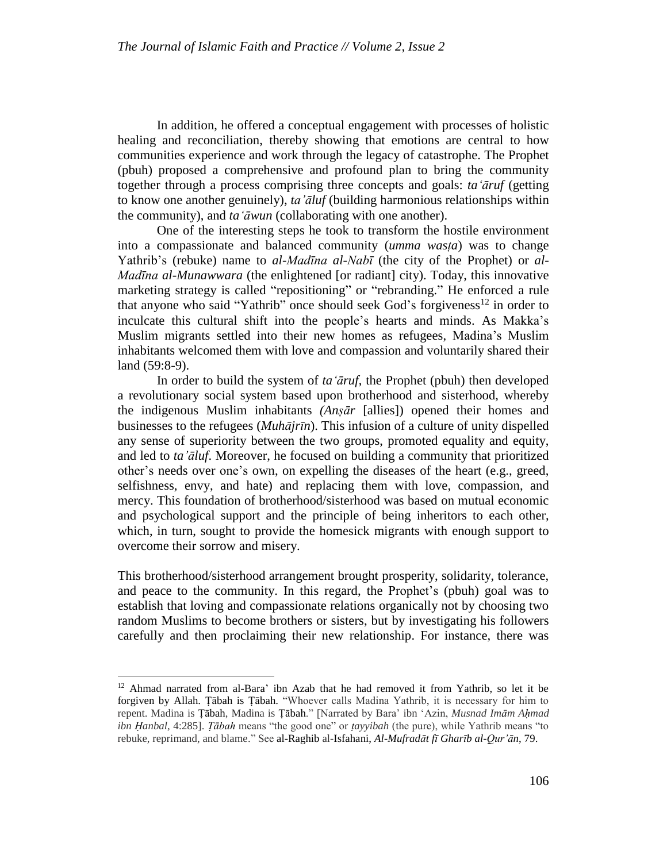In addition, he offered a conceptual engagement with processes of holistic healing and reconciliation, thereby showing that emotions are central to how communities experience and work through the legacy of catastrophe. The Prophet (pbuh) proposed a comprehensive and profound plan to bring the community together through a process comprising three concepts and goals: *ta'āruf* (getting to know one another genuinely), *ta'āluf* (building harmonious relationships within the community), and *ta'āwun* (collaborating with one another).

One of the interesting steps he took to transform the hostile environment into a compassionate and balanced community (*umma wasṭa*) was to change Yathrib's (rebuke) name to *al-Madīna al-Nabī* (the city of the Prophet) or *al-Madīna al-Munawwara* (the enlightened [or radiant] city). Today, this innovative marketing strategy is called "repositioning" or "rebranding." He enforced a rule that anyone who said "Yathrib" once should seek God's forgiveness<sup>12</sup> in order to inculcate this cultural shift into the people's hearts and minds. As Makka's Muslim migrants settled into their new homes as refugees, Madina's Muslim inhabitants welcomed them with love and compassion and voluntarily shared their land (59:8-9).

In order to build the system of *ta'āruf*, the Prophet (pbuh) then developed a revolutionary social system based upon brotherhood and sisterhood, whereby the indigenous Muslim inhabitants *(Anṣār* [allies]) opened their homes and businesses to the refugees (*Muhājrīn*). This infusion of a culture of unity dispelled any sense of superiority between the two groups, promoted equality and equity, and led to *ta'āluf*. Moreover, he focused on building a community that prioritized other's needs over one's own, on expelling the diseases of the heart (e.g., greed, selfishness, envy, and hate) and replacing them with love, compassion, and mercy. This foundation of brotherhood/sisterhood was based on mutual economic and psychological support and the principle of being inheritors to each other, which, in turn, sought to provide the homesick migrants with enough support to overcome their sorrow and misery.

This brotherhood/sisterhood arrangement brought prosperity, solidarity, tolerance, and peace to the community. In this regard, the Prophet's (pbuh) goal was to establish that loving and compassionate relations organically not by choosing two random Muslims to become brothers or sisters, but by investigating his followers carefully and then proclaiming their new relationship. For instance, there was

l

<sup>12</sup> Ahmad narrated from al-Bara' ibn Azab that he had removed it from Yathrib, so let it be forgiven by Allah. Ṭābah is Ṭābah. "Whoever calls Madina Yathrib, it is necessary for him to repent. Madina is Ṭābah, Madina is Ṭābah." [Narrated by Bara' ibn 'Azin, *Musnad Imām Aḥmad ibn Ḥanbal*, 4:285]. *Ṭābah* means "the good one" or *ṭayyibah* (the pure), while Yathrib means "to rebuke, reprimand, and blame." See al-Raghib al-Isfahani, *Al-Mufradāt fī [Gharīb al-Qur'ān](https://en.wikipedia.org/wiki/Al-Mufradat_fi_Gharib_al-Quran)*, 79.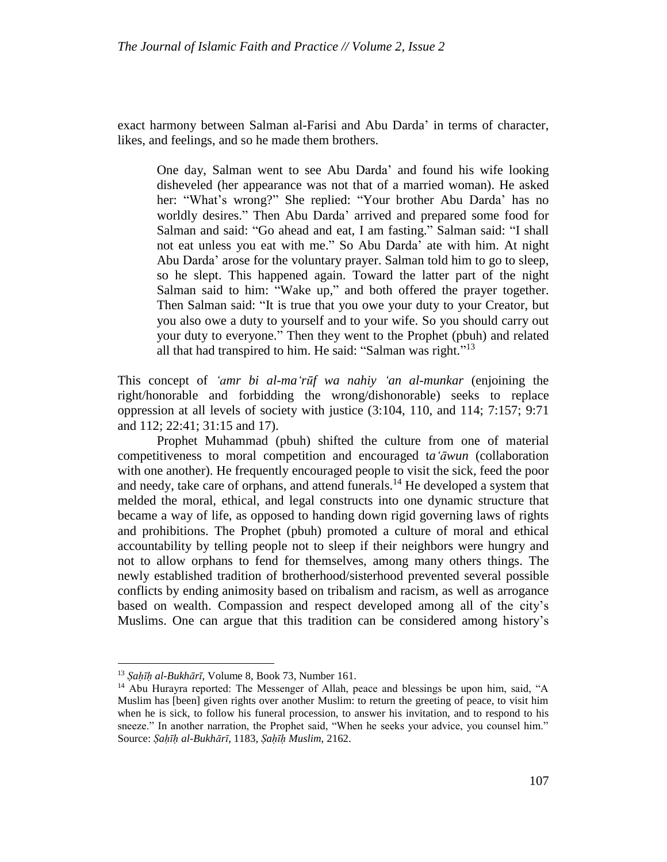exact harmony between Salman al-Farisi and Abu Darda' in terms of character, likes, and feelings, and so he made them brothers.

One day, Salman went to see Abu Darda' and found his wife looking disheveled (her appearance was not that of a married woman). He asked her: "What's wrong?" She replied: "Your brother Abu Darda' has no worldly desires." Then Abu Darda' arrived and prepared some food for Salman and said: "Go ahead and eat, I am fasting." Salman said: "I shall not eat unless you eat with me." So Abu Darda' ate with him. At night Abu Darda' arose for the voluntary prayer. Salman told him to go to sleep, so he slept. This happened again. Toward the latter part of the night Salman said to him: "Wake up," and both offered the prayer together. Then Salman said: "It is true that you owe your duty to your Creator, but you also owe a duty to yourself and to your wife. So you should carry out your duty to everyone." Then they went to the Prophet (pbuh) and related all that had transpired to him. He said: "Salman was right."<sup>13</sup>

This concept of *'amr bi al-ma'rūf wa nahiy 'an al-munkar* (enjoining the right/honorable and forbidding the wrong/dishonorable) seeks to replace oppression at all levels of society with justice (3:104, 110, and 114; 7:157; 9:71 and 112; 22:41; 31:15 and 17).

Prophet Muhammad (pbuh) shifted the culture from one of material competitiveness to moral competition and encouraged t*a'āwun* (collaboration with one another). He frequently encouraged people to visit the sick, feed the poor and needy, take care of orphans, and attend funerals.<sup>14</sup> He developed a system that melded the moral, ethical, and legal constructs into one dynamic structure that became a way of life, as opposed to handing down rigid governing laws of rights and prohibitions. The Prophet (pbuh) promoted a culture of moral and ethical accountability by telling people not to sleep if their neighbors were hungry and not to allow orphans to fend for themselves, among many others things. The newly established tradition of brotherhood/sisterhood prevented several possible conflicts by ending animosity based on tribalism and racism, as well as arrogance based on wealth. Compassion and respect developed among all of the city's Muslims. One can argue that this tradition can be considered among history's

<sup>13</sup> *Ṣaḥīḥ al-Bukhārī*, Volume 8, Book 73, Number 161.

<sup>&</sup>lt;sup>14</sup> Abu Hurayra reported: The Messenger of Allah, peace and blessings be upon him, said, "A Muslim has [been] given rights over another Muslim: to return the greeting of peace, to visit him when he is sick, to follow his funeral procession, to answer his invitation, and to respond to his sneeze." In another narration, the Prophet said, "When he seeks your advice, you counsel him." Source: *Ṣaḥīḥ al-Bukhārī,* 1183, *Ṣaḥīḥ Muslim*, 2162.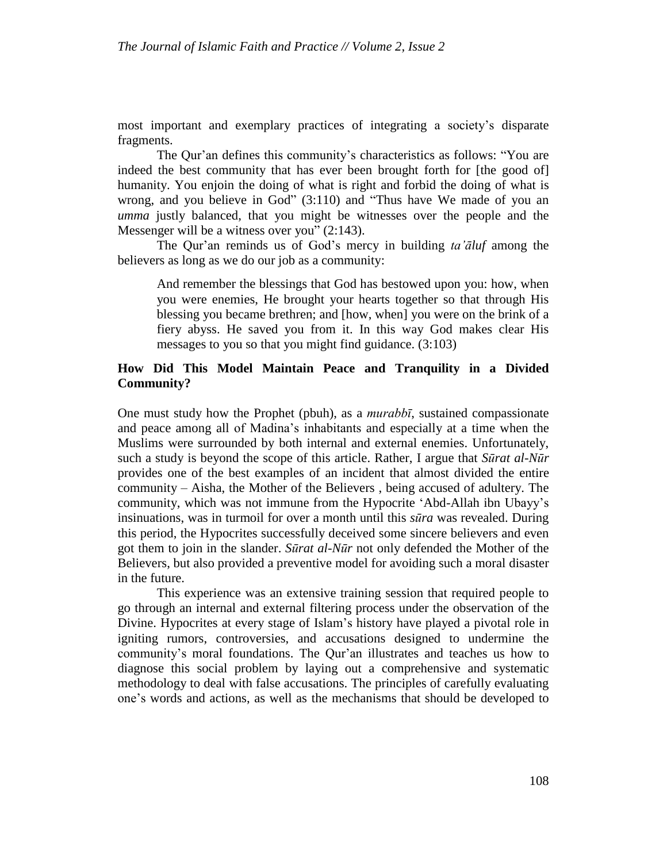most important and exemplary practices of integrating a society's disparate fragments.

The Qur'an defines this community's characteristics as follows: "You are indeed the best community that has ever been brought forth for [the good of] humanity. You enjoin the doing of what is right and forbid the doing of what is wrong, and you believe in God" (3:110) and "Thus have We made of you an *umma* justly balanced, that you might be witnesses over the people and the Messenger will be a witness over you"  $(2.143)$ .

The Qur'an reminds us of God's mercy in building *ta'āluf* among the believers as long as we do our job as a community:

And remember the blessings that God has bestowed upon you: how, when you were enemies, He brought your hearts together so that through His blessing you became brethren; and [how, when] you were on the brink of a fiery abyss. He saved you from it. In this way God makes clear His messages to you so that you might find guidance. (3[:103\)](http://tanzil.net/#trans/en.asad/3:103)

# **How Did This Model Maintain Peace and Tranquility in a Divided Community?**

One must study how the Prophet (pbuh), as a *murabbī*, sustained compassionate and peace among all of Madina's inhabitants and especially at a time when the Muslims were surrounded by both internal and external enemies. Unfortunately, such a study is beyond the scope of this article. Rather, I argue that *Sūrat al-Nūr* provides one of the best examples of an incident that almost divided the entire community – Aisha, the Mother of the Believers , being accused of adultery. The community, which was not immune from the Hypocrite 'Abd-Allah ibn Ubayy's insinuations, was in turmoil for over a month until this *sūra* was revealed. During this period, the Hypocrites successfully deceived some sincere believers and even got them to join in the slander. *Sūrat al-Nūr* not only defended the Mother of the Believers, but also provided a preventive model for avoiding such a moral disaster in the future.

This experience was an extensive training session that required people to go through an internal and external filtering process under the observation of the Divine. Hypocrites at every stage of Islam's history have played a pivotal role in igniting rumors, controversies, and accusations designed to undermine the community's moral foundations. The Qur'an illustrates and teaches us how to diagnose this social problem by laying out a comprehensive and systematic methodology to deal with false accusations. The principles of carefully evaluating one's words and actions, as well as the mechanisms that should be developed to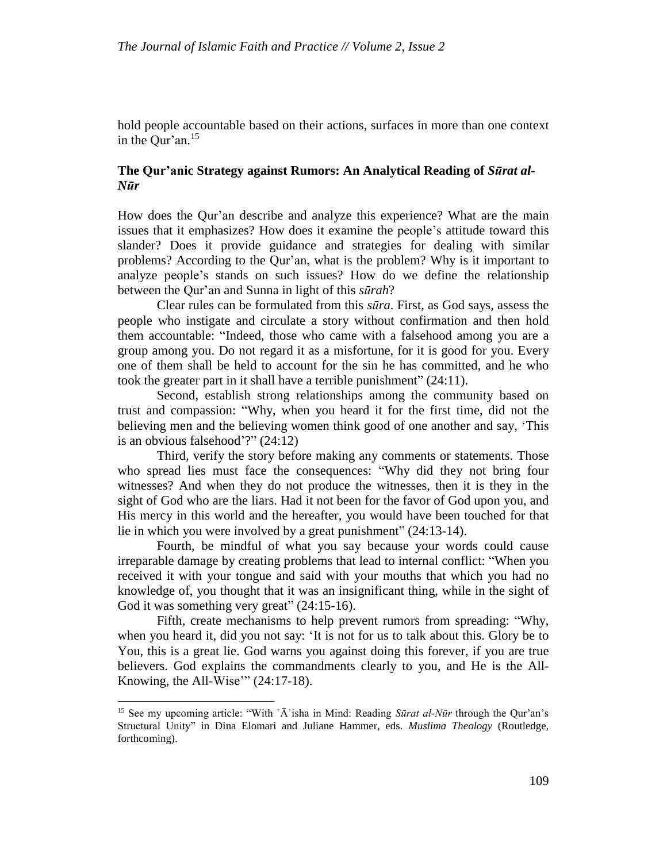hold people accountable based on their actions, surfaces in more than one context in the Our'an. $15$ 

# **The Qur'anic Strategy against Rumors: An Analytical Reading of** *Sūrat al-Nūr*

How does the Qur'an describe and analyze this experience? What are the main issues that it emphasizes? How does it examine the people's attitude toward this slander? Does it provide guidance and strategies for dealing with similar problems? According to the Qur'an, what is the problem? Why is it important to analyze people's stands on such issues? How do we define the relationship between the Qur'an and Sunna in light of this *sūrah*?

Clear rules can be formulated from this *sūra*. First, as God says, assess the people who instigate and circulate a story without confirmation and then hold them accountable: "Indeed, those who came with a falsehood among you are a group among you. Do not regard it as a misfortune, for it is good for you. Every one of them shall be held to account for the sin he has committed, and he who took the greater part in it shall have a terrible punishment" (24:11).

Second, establish strong relationships among the community based on trust and compassion: "Why, when you heard it for the first time, did not the believing men and the believing women think good of one another and say, 'This is an obvious falsehood'?" (24:12)

Third, verify the story before making any comments or statements. Those who spread lies must face the consequences: "Why did they not bring four witnesses? And when they do not produce the witnesses, then it is they in the sight of God who are the liars. Had it not been for the favor of God upon you, and His mercy in this world and the hereafter, you would have been touched for that lie in which you were involved by a great punishment" (24:13-14).

Fourth, be mindful of what you say because your words could cause irreparable damage by creating problems that lead to internal conflict: "When you received it with your tongue and said with your mouths that which you had no knowledge of, you thought that it was an insignificant thing, while in the sight of God it was something very great" (24:15-16).

Fifth, create mechanisms to help prevent rumors from spreading: "Why, when you heard it, did you not say: 'It is not for us to talk about this. Glory be to You, this is a great lie. God warns you against doing this forever, if you are true believers. God explains the commandments clearly to you, and He is the All-Knowing, the All-Wise'"  $(24:17-18)$ .

<sup>&</sup>lt;sup>15</sup> See my upcoming article: "With 'A<sup>3</sup> isha in Mind: Reading *Sūrat al-Nūr* through the Qur'an's Structural Unity" in Dina Elomari and Juliane Hammer, eds. *Muslima Theology* (Routledge, forthcoming).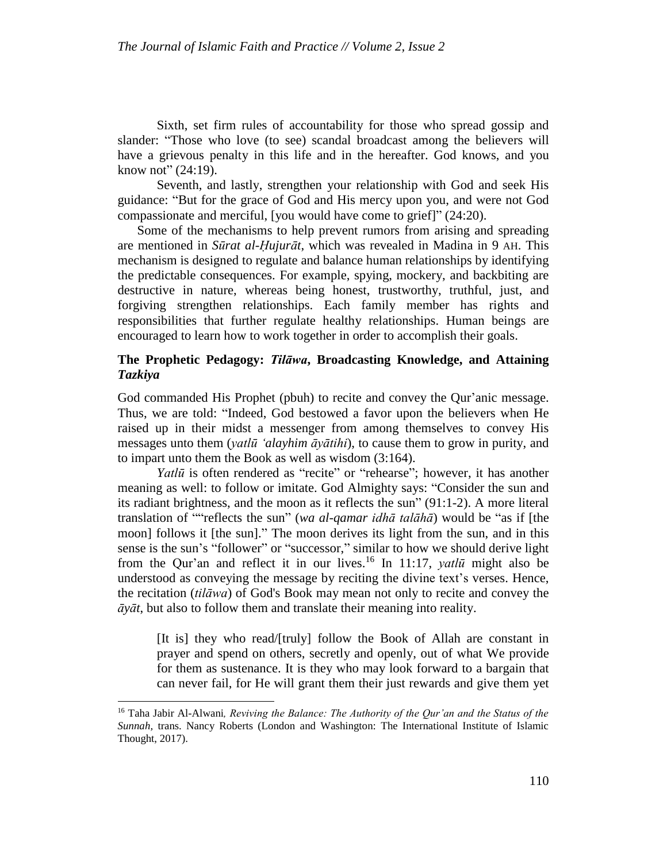Sixth, set firm rules of accountability for those who spread gossip and slander: "Those who love (to see) scandal broadcast among the believers will have a grievous penalty in this life and in the hereafter. God knows, and you know not" (24:19).

Seventh, and lastly, strengthen your relationship with God and seek His guidance: "But for the grace of God and His mercy upon you, and were not God compassionate and merciful, [you would have come to grief]" (24:20).

Some of the mechanisms to help prevent rumors from arising and spreading are mentioned in *Sūrat al-Ḥujurāt*, which was revealed in Madina in 9 AH. This mechanism is designed to regulate and balance human relationships by identifying the predictable consequences. For example, spying, mockery, and backbiting are destructive in nature, whereas being honest, trustworthy, truthful, just, and forgiving strengthen relationships. Each family member has rights and responsibilities that further regulate healthy relationships. Human beings are encouraged to learn how to work together in order to accomplish their goals.

# **The Prophetic Pedagogy:** *Tilāwa***, Broadcasting Knowledge, and Attaining** *Tazkiya*

God commanded His Prophet (pbuh) to recite and convey the Qur'anic message. Thus, we are told: "Indeed, God bestowed a favor upon the believers when He raised up in their midst a messenger from among themselves to convey His messages unto them (*yatlū 'alayhim āyātihi*), to cause them to grow in purity, and to impart unto them the Book as well as wisdom (3:164).

*Yatlū* is often rendered as "recite" or "rehearse"; however, it has another meaning as well: to follow or imitate. God Almighty says: "Consider the sun and its radiant brightness, and the moon as it reflects the sun" (91:1-2). A more literal translation of ""reflects the sun" (*wa al-qamar idhā talāhā*) would be "as if [the moon] follows it [the sun]." The moon derives its light from the sun, and in this sense is the sun's "follower" or "successor," similar to how we should derive light from the Qur'an and reflect it in our lives.<sup>16</sup> In 11:17, *yatlū* might also be understood as conveying the message by reciting the divine text's verses. Hence, the recitation (*tilāwa*) of God's Book may mean not only to recite and convey the *āyāt*, but also to follow them and translate their meaning into reality.

[It is] they who read/[truly] follow the Book of Allah are constant in prayer and spend on others, secretly and openly, out of what We provide for them as sustenance. It is they who may look forward to a bargain that can never fail, for He will grant them their just rewards and give them yet

<sup>16</sup> Taha Jabir Al-Alwani*, Reviving the Balance: The Authority of the Qur'an and the Status of the Sunnah,* trans. Nancy Roberts (London and Washington: The International Institute of Islamic Thought, 2017).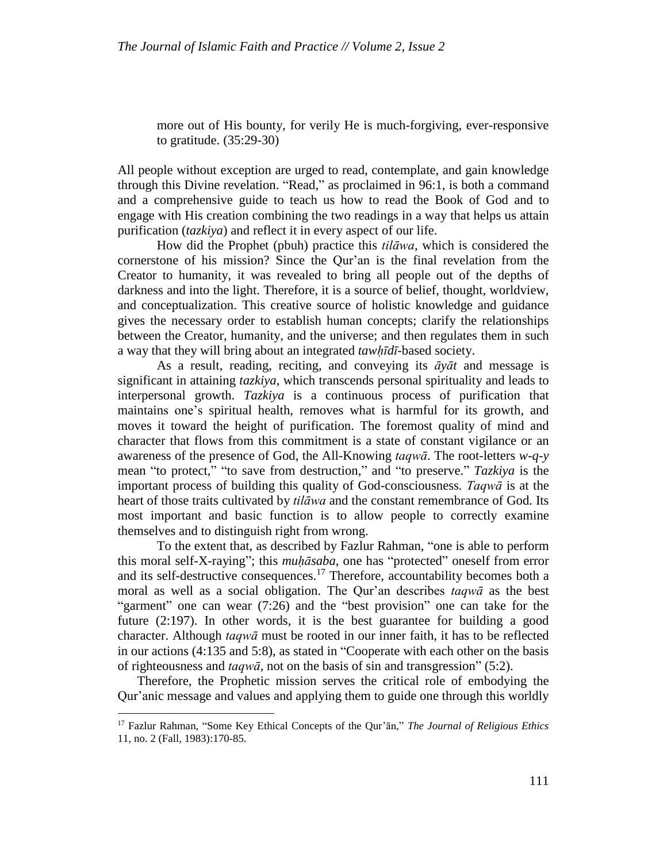more out of His bounty, for verily He is much-forgiving, ever-responsive to gratitude. (35:29[-30\)](http://tanzil.net/#trans/en.asad/35:30)

All people without exception are urged to read, contemplate, and gain knowledge through this Divine revelation. "Read," as proclaimed in 96:1, is both a command and a comprehensive guide to teach us how to read the Book of God and to engage with His creation combining the two readings in a way that helps us attain purification (*tazkiya*) and reflect it in every aspect of our life.

How did the Prophet (pbuh) practice this *tilāwa*, which is considered the cornerstone of his mission? Since the Qur'an is the final revelation from the Creator to humanity, it was revealed to bring all people out of the depths of darkness and into the light. Therefore, it is a source of belief, thought, worldview, and conceptualization. This creative source of holistic knowledge and guidance gives the necessary order to establish human concepts; clarify the relationships between the Creator, humanity, and the universe; and then regulates them in such a way that they will bring about an integrated *tawḥīdī*-based society.

As a result, reading, reciting, and conveying its *āyāt* and message is significant in attaining *tazkiya*, which transcends personal spirituality and leads to interpersonal growth. *Tazkiya* is a continuous process of purification that maintains one's spiritual health, removes what is harmful for its growth, and moves it toward the height of purification. The foremost quality of mind and character that flows from this commitment is a state of constant vigilance or an awareness of the presence of God, the All-Knowing *taqwā*. The root-letters *w-q-y* mean "to protect," "to save from destruction," and "to preserve." *Tazkiya* is the important process of building this quality of God-consciousness*. Taqwā* is at the heart of those traits cultivated by *tilāwa* and the constant remembrance of God. Its most important and basic function is to allow people to correctly examine themselves and to distinguish right from wrong.

To the extent that, as described by Fazlur Rahman, "one is able to perform this moral self-X-raying"; this *muḥāsaba*, one has "protected" oneself from error and its self-destructive consequences.<sup>17</sup> Therefore, accountability becomes both a moral as well as a social obligation. The Qur'an describes *taqwā* as the best "garment" one can wear (7:26) and the "best provision" one can take for the future (2:197). In other words, it is the best guarantee for building a good character. Although *taqwā* must be rooted in our inner faith, it has to be reflected in our actions (4:135 and 5:8), as stated in "Cooperate with each other on the basis of righteousness and *taqwā*, not on the basis of sin and transgression" (5:2).

Therefore, the Prophetic mission serves the critical role of embodying the Qur'anic message and values and applying them to guide one through this worldly

 $\overline{a}$ 

<sup>17</sup> Fazlur Rahman, "Some Key Ethical Concepts of the Qur'ān," *The Journal of Religious Ethics* 11, no. 2 (Fall, 1983):170-85.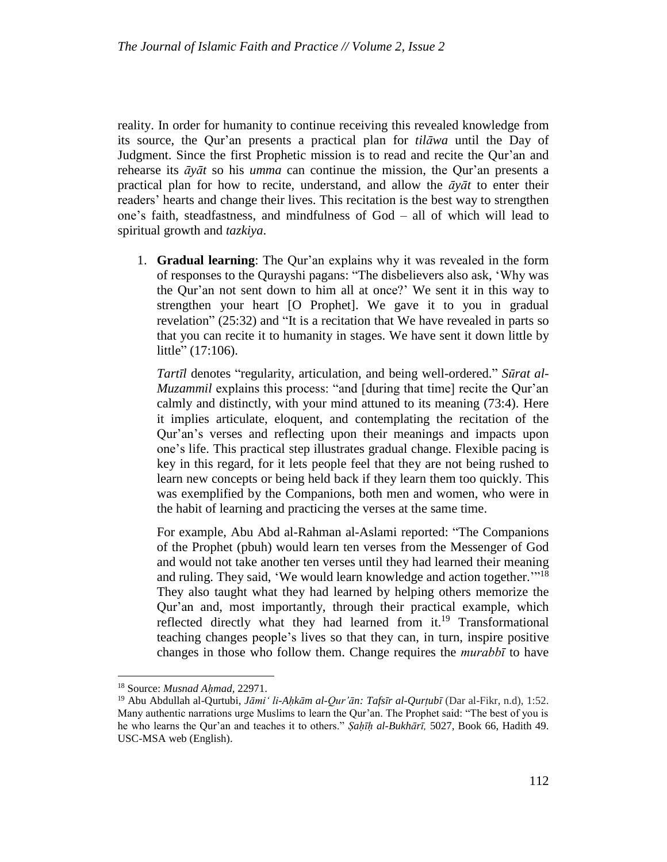reality. In order for humanity to continue receiving this revealed knowledge from its source, the Qur'an presents a practical plan for *tilāwa* until the Day of Judgment. Since the first Prophetic mission is to read and recite the Qur'an and rehearse its *āyāt* so his *umma* can continue the mission, the Qur'an presents a practical plan for how to recite, understand, and allow the *āyāt* to enter their readers' hearts and change their lives. This recitation is the best way to strengthen one's faith, steadfastness, and mindfulness of God – all of which will lead to spiritual growth and *tazkiya*.

1. **Gradual learning**: The Qur'an explains why it was revealed in the form of responses to the Qurayshi pagans: "The disbelievers also ask, 'Why was the Qur'an not sent down to him all at once?' We sent it in this way to strengthen your heart [O Prophet]. We gave it to you in gradual revelation" (25:32) and "It is a recitation that We have revealed in parts so that you can recite it to humanity in stages. We have sent it down little by little" (17:106).

*Tartīl* denotes "regularity, articulation, and being well-ordered." *Sūrat al-Muzammil* explains this process: "and [during that time] recite the Qur'an calmly and distinctly, with your mind attuned to its meaning (73:4). Here it implies articulate, eloquent, and contemplating the recitation of the Qur'an's verses and reflecting upon their meanings and impacts upon one's life. This practical step illustrates gradual change. Flexible pacing is key in this regard, for it lets people feel that they are not being rushed to learn new concepts or being held back if they learn them too quickly. This was exemplified by the Companions, both men and women, who were in the habit of learning and practicing the verses at the same time.

For example, Abu Abd al-Rahman al-Aslami reported: "The Companions of the Prophet (pbuh) would learn ten verses from the Messenger of God and would not take another ten verses until they had learned their meaning and ruling. They said, 'We would learn knowledge and action together.'"<sup>18</sup> They also taught what they had learned by helping others memorize the Qur'an and, most importantly, through their practical example, which reflected directly what they had learned from it.<sup>19</sup> Transformational teaching changes people's lives so that they can, in turn, inspire positive changes in those who follow them. Change requires the *murabbī* to have

l

<sup>18</sup> Source: *Musnad Aḥmad,* 22971.

<sup>&</sup>lt;sup>19</sup> Abu Abdullah al-Qurtubi, *Jāmi' li-Ahkām al-Qur'ān: Tafsīr al-Qurtubī* (Dar al-Fikr, n.d), 1:52. Many authentic narrations urge Muslims to learn the Qur'an. The Prophet said: "The best of you is he who learns the Qur'an and teaches it to others." *Ṣaḥīḥ al-Bukhārī,* 5027, Book 66, Hadith 49. USC-MSA web (English).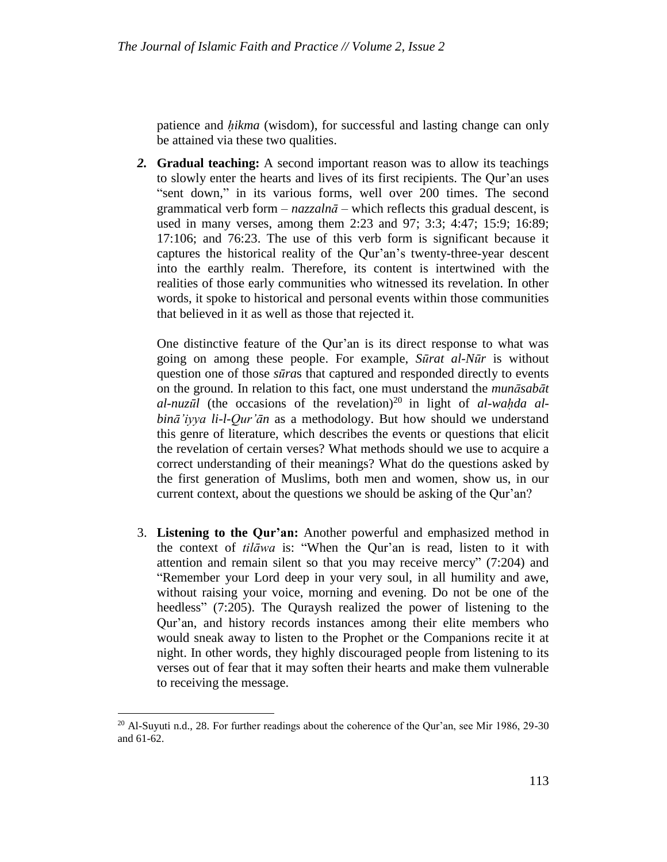patience and *ḥikma* (wisdom), for successful and lasting change can only be attained via these two qualities.

*2.* **Gradual teaching:** A second important reason was to allow its teachings to slowly enter the hearts and lives of its first recipients. The Qur'an uses "sent down," in its various forms, well over 200 times. The second grammatical verb form  $-\textit{nazzaln}\bar{a}$  – which reflects this gradual descent, is used in many verses, among them 2:23 and 97; 3:3; 4:47; 15:9; 16:89; 17:106; and 76:23. The use of this verb form is significant because it captures the historical reality of the Qur'an's twenty-three-year descent into the earthly realm. Therefore, its content is intertwined with the realities of those early communities who witnessed its revelation. In other words, it spoke to historical and personal events within those communities that believed in it as well as those that rejected it.

One distinctive feature of the Qur'an is its direct response to what was going on among these people. For example, *Sūrat al-Nūr* is without question one of those *sūra*s that captured and responded directly to events on the ground. In relation to this fact, one must understand the *munāsabāt*  $a$ *l-nuzūl* (the occasions of the revelation)<sup>20</sup> in light of  $a$ *l-waḥda*  $a$ *lbinā'iyya li-l-Qur'ān* as a methodology. But how should we understand this genre of literature, which describes the events or questions that elicit the revelation of certain verses? What methods should we use to acquire a correct understanding of their meanings? What do the questions asked by the first generation of Muslims, both men and women, show us, in our current context, about the questions we should be asking of the Qur'an?

3. **Listening to the Qur'an:** Another powerful and emphasized method in the context of *tilāwa* is: "When the Qur'an is read, listen to it with attention and remain silent so that you may receive mercy" (7[:204\)](http://tanzil.net/#trans/en.wahiduddin/7:204) and "Remember your Lord deep in your very soul, in all humility and awe, without raising your voice, morning and evening. Do not be one of the heedless" (7[:205\)](http://tanzil.net/#trans/en.wahiduddin/7:205). The Quraysh realized the power of listening to the Qur'an, and history records instances among their elite members who would sneak away to listen to the Prophet or the Companions recite it at night. In other words, they highly discouraged people from listening to its verses out of fear that it may soften their hearts and make them vulnerable to receiving the message.

 $\overline{a}$ 

<sup>&</sup>lt;sup>20</sup> Al-Suyuti n.d., 28. For further readings about the coherence of the Qur'an, see Mir 1986, 29-30 and 61-62.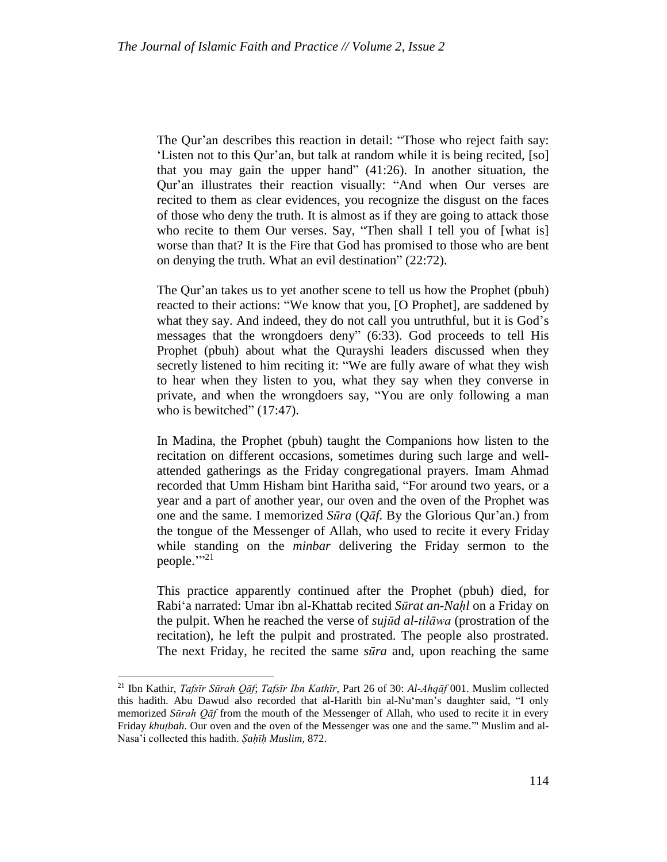The Qur'an describes this reaction in detail: "Those who reject faith say: 'Listen not to this Qur'an, but talk at random while it is being recited, [so] that you may gain the upper hand" (41:26). In another situation, the Qur'an illustrates their reaction visually: "And when Our verses are recited to them as clear evidences, you recognize the disgust on the faces of those who deny the truth. It is almost as if they are going to attack those who recite to them Our verses. Say, "Then shall I tell you of [what is] worse than that? It is the Fire that God has promised to those who are bent on denying the truth. What an evil destination" (22:72).

The Qur'an takes us to yet another scene to tell us how the Prophet (pbuh) reacted to their actions: "We know that you, [O Prophet], are saddened by what they say. And indeed, they do not call you untruthful, but it is God's messages that the wrongdoers deny" (6:33). God proceeds to tell His Prophet (pbuh) about what the Qurayshi leaders discussed when they secretly listened to him reciting it: "We are fully aware of what they wish to hear when they listen to you, what they say when they converse in private, and when the wrongdoers say, "You are only following a man who is bewitched"  $(17:47)$  $(17:47)$ .

In Madina, the Prophet (pbuh) taught the Companions how listen to the recitation on different occasions, sometimes during such large and wellattended gatherings as the Friday congregational prayers. Imam Ahmad recorded that Umm Hisham bint Haritha said, "For around two years, or a year and a part of another year, our oven and the oven of the Prophet was one and the same. I memorized *Sūra* (*Qāf*. By the Glorious Qur'an.) from the tongue of the Messenger of Allah, who used to recite it every Friday while standing on the *minbar* delivering the Friday sermon to the people.""<sup>21</sup>

This practice apparently continued after the Prophet (pbuh) died, for Rabi'a narrated: Umar ibn al-Khattab recited *Sūrat an-Naḥl* on a Friday on the pulpit. When he reached the verse of *sujūd al-tilāwa* (prostration of the recitation), he left the pulpit and prostrated. The people also prostrated. The next Friday, he recited the same *sūra* and, upon reaching the same

l

<sup>21</sup> Ibn Kathir, *Tafsīr Sūrah Qāf*; *Tafsīr Ibn Kathīr*, Part 26 of 30: *Al-Ahqāf* 001. Muslim collected this hadith. Abu Dawud also recorded that al-Harith bin al-Nu'man's daughter said, "I only memorized *Sūrah Qāf* from the mouth of the Messenger of Allah, who used to recite it in every Friday *khutbah*. Our oven and the oven of the Messenger was one and the same." Muslim and al-Nasa'i collected this hadith. *Ṣaḥīḥ Muslim,* 872.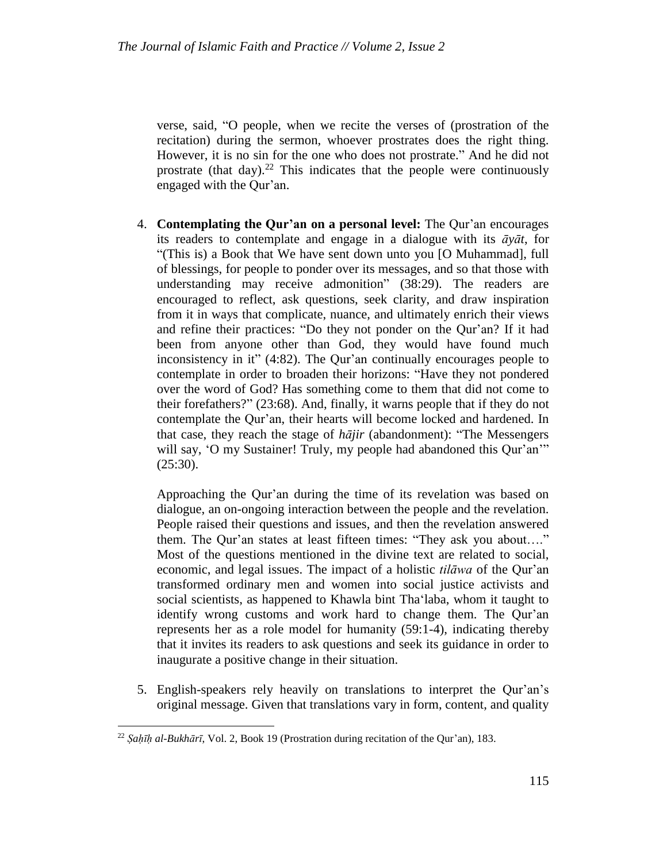verse, said, "O people, when we recite the verses of (prostration of the recitation) during the sermon, whoever prostrates does the right thing. However, it is no sin for the one who does not prostrate." And he did not prostrate (that day).<sup>22</sup> This indicates that the people were continuously engaged with the Qur'an.

4. **Contemplating the Qur'an on a personal level:** The Qur'an encourages its readers to contemplate and engage in a dialogue with its *āyāt*, for "(This is) a Book that We have sent down unto you [O Muhammad], full of blessings, for people to ponder over its messages, and so that those with understanding may receive admonition" (38[:29\)](http://tanzil.net/#trans/en.yusufali/38:29). The readers are encouraged to reflect, ask questions, seek clarity, and draw inspiration from it in ways that complicate, nuance, and ultimately enrich their views and refine their practices: "Do they not ponder on the Qur'an? If it had been from anyone other than God, they would have found much inconsistency in it" (4[:82\)](http://tanzil.net/#trans/en.wahiduddin/4:82). The Qur'an continually encourages people to contemplate in order to broaden their horizons: "Have they not pondered over the word of God? Has something come to them that did not come to their forefathers?" (23[:68\)](http://tanzil.net/#trans/en.wahiduddin/23:68). And, finally, it warns people that if they do not contemplate the Qur'an, their hearts will become locked and hardened. In that case, they reach the stage of *hājir* (abandonment): "The Messengers will say, 'O my Sustainer! Truly, my people had abandoned this Qur'an'" (25[:30\)](http://tanzil.net/#trans/en.sarwar/25:30).

Approaching the Qur'an during the time of its revelation was based on dialogue, an on-ongoing interaction between the people and the revelation. People raised their questions and issues, and then the revelation answered them. The Qur'an states at least fifteen times: "They ask you about…." Most of the questions mentioned in the divine text are related to social, economic, and legal issues. The impact of a holistic *tilāwa* of the Qur'an transformed ordinary men and women into social justice activists and social scientists, as happened to Khawla bint Tha'laba, whom it taught to identify wrong customs and work hard to change them. The Qur'an represents her as a role model for humanity (59:1-4), indicating thereby that it invites its readers to ask questions and seek its guidance in order to inaugurate a positive change in their situation.

5. English-speakers rely heavily on translations to interpret the Qur'an's original message. Given that translations vary in form, content, and quality

<sup>22</sup> *Ṣaḥīḥ al-Bukhārī*, Vol. 2, Book 19 (Prostration during recitation of the Qur'an), 183.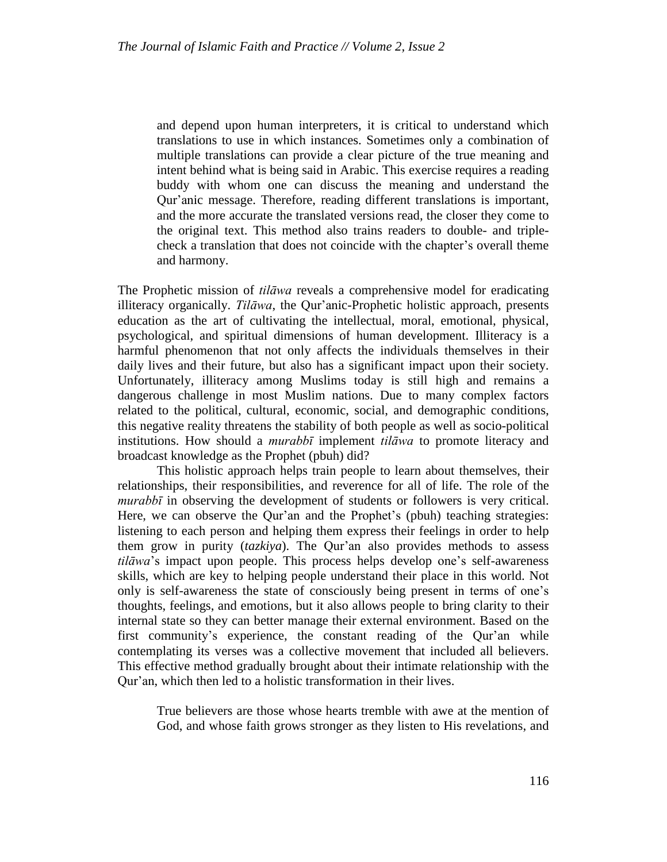and depend upon human interpreters, it is critical to understand which translations to use in which instances. Sometimes only a combination of multiple translations can provide a clear picture of the true meaning and intent behind what is being said in Arabic. This exercise requires a reading buddy with whom one can discuss the meaning and understand the Qur'anic message. Therefore, reading different translations is important, and the more accurate the translated versions read, the closer they come to the original text. This method also trains readers to double- and triplecheck a translation that does not coincide with the chapter's overall theme and harmony.

The Prophetic mission of *tilāwa* reveals a comprehensive model for eradicating illiteracy organically. *Tilāwa*, the Qur'anic-Prophetic holistic approach, presents education as the art of cultivating the intellectual, moral, emotional, physical, psychological, and spiritual dimensions of human development. Illiteracy is a harmful phenomenon that not only affects the individuals themselves in their daily lives and their future, but also has a significant impact upon their society. Unfortunately, illiteracy among Muslims today is still high and remains a dangerous challenge in most Muslim nations. Due to many complex factors related to the political, cultural, economic, social, and demographic conditions, this negative reality threatens the stability of both people as well as socio-political institutions. How should a *murabbī* implement *tilāwa* to promote literacy and broadcast knowledge as the Prophet (pbuh) did?

This holistic approach helps train people to learn about themselves, their relationships, their responsibilities, and reverence for all of life. The role of the *murabbī* in observing the development of students or followers is very critical. Here, we can observe the Qur'an and the Prophet's (pbuh) teaching strategies: listening to each person and helping them express their feelings in order to help them grow in purity (*tazkiya*). The Qur'an also provides methods to assess *tilāwa*'s impact upon people. This process helps develop one's self-awareness skills, which are key to helping people understand their place in this world. Not only is self-awareness the state of consciously being present in terms of one's thoughts, feelings, and emotions, but it also allows people to bring clarity to their internal state so they can better manage their external environment. Based on the first community's experience, the constant reading of the Qur'an while contemplating its verses was a collective movement that included all believers. This effective method gradually brought about their intimate relationship with the Qur'an, which then led to a holistic transformation in their lives.

True believers are those whose hearts tremble with awe at the mention of God, and whose faith grows stronger as they listen to His revelations, and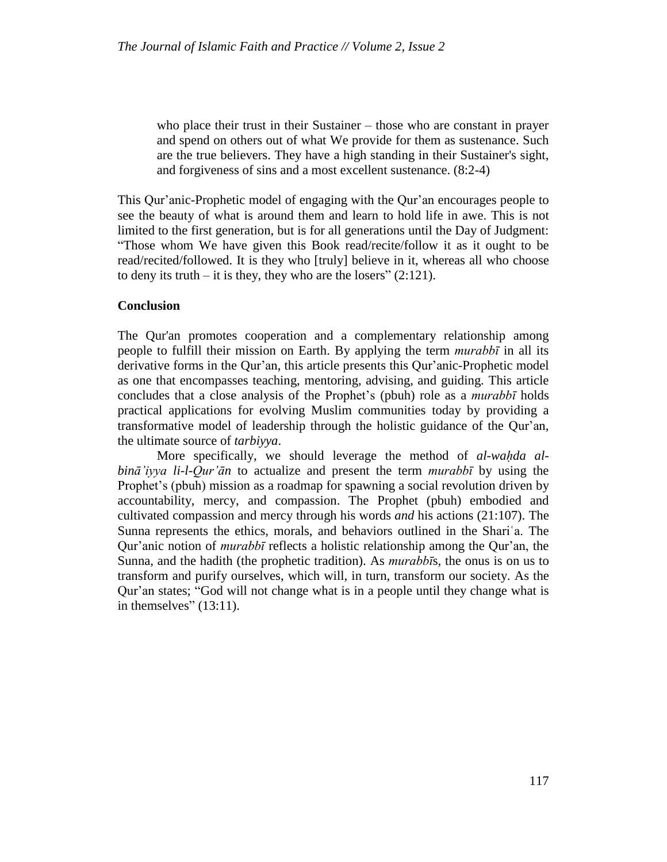who place their trust in their Sustainer – those who are constant in prayer and spend on others out of what We provide for them as sustenance. Such are the true believers. They have a high standing in their Sustainer's sight, and forgiveness of sins and a most excellent sustenance. (8:2[-4\)](http://tanzil.net/#trans/en.asad/8:4)

This Qur'anic-Prophetic model of engaging with the Qur'an encourages people to see the beauty of what is around them and learn to hold life in awe. This is not limited to the first generation, but is for all generations until the Day of Judgment: "Those whom We have given this Book read/recite/follow it as it ought to be read/recited/followed. It is they who [truly] believe in it, whereas all who choose to deny its truth – it is they, they who are the losers"  $(2:121)$  $(2:121)$ .

# **Conclusion**

The Qur'an promotes cooperation and a complementary relationship among people to fulfill their mission on Earth. By applying the term *murabbī* in all its derivative forms in the Qur'an, this article presents this Qur'anic-Prophetic model as one that encompasses teaching, mentoring, advising, and guiding. This article concludes that a close analysis of the Prophet's (pbuh) role as a *murabbī* holds practical applications for evolving Muslim communities today by providing a transformative model of leadership through the holistic guidance of the Qur'an, the ultimate source of *tarbiyya*.

More specifically, we should leverage the method of *al-wahda albinā'iyya li-l-Qur'ān* to actualize and present the term *murabbī* by using the Prophet's (pbuh) mission as a roadmap for spawning a social revolution driven by accountability, mercy, and compassion. The Prophet (pbuh) embodied and cultivated compassion and mercy through his words *and* his actions (21[:107\)](http://tanzil.net/#trans/en.sahih/21:107). The Sunna represents the ethics, morals, and behaviors outlined in the Shariʿa. The Qur'anic notion of *murabbī* reflects a holistic relationship among the Qur'an, the Sunna, and the hadith (the prophetic tradition). As *murabbī*s, the onus is on us to transform and purify ourselves, which will, in turn, transform our society. As the Qur'an states; "God will not change what is in a people until they change what is in themselves"  $(13:11)$ .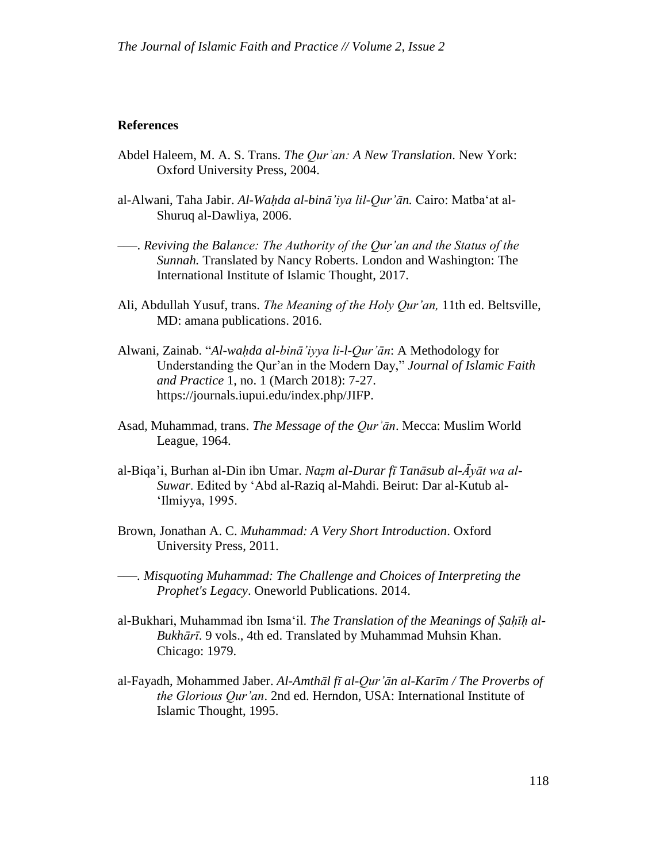## **References**

- Abdel Haleem, M. A. S. Trans. *The Qurʾan: A New Translation*. New York: Oxford University Press, 2004.
- al-Alwani, Taha Jabir. *Al-Waḥda al-binā'iya lil-Qur'ān.* Cairo: Matba'at al-Shuruq al-Dawliya, 2006.
- ‒‒‒. *Reviving the Balance: The Authority of the Qur'an and the Status of the Sunnah.* Translated by Nancy Roberts. London and Washington: The International Institute of Islamic Thought, 2017.
- Ali, Abdullah Yusuf, trans. *The Meaning of the Holy Qur'an,* 11th ed. Beltsville, MD: amana publications. 2016.
- Alwani, Zainab. "*Al-waḥda al-binā'iyya li-l-Qur'ān*: A Methodology for Understanding the Qur'an in the Modern Day," *Journal of Islamic Faith and Practice* 1, no. 1 (March 2018): 7-27. https://journals.iupui.edu/index.php/JIFP.
- Asad*,* Muhammad, trans. *The Message of the Qurʾān*. Mecca: Muslim World League, 1964.
- al-Biqa'i, Burhan al-Din ibn Umar. *Naẓm al-Durar fī Tanāsub al-Āyāt wa al-Suwar*. Edited by 'Abd al-Raziq al-Mahdi. Beirut: Dar al-Kutub al- 'Ilmiyya, 1995.
- [Brown, Jonathan](https://en.wikipedia.org/wiki/Jonathan_A.C._Brown) A. C. *Muhammad: A Very Short Introduction*. [Oxford](https://en.wikipedia.org/wiki/Oxford_University_Press)  [University Press,](https://en.wikipedia.org/wiki/Oxford_University_Press) 2011.
- ‒‒‒*. Misquoting Muhammad: The Challenge and Choices of Interpreting the Prophet's Legacy*. [Oneworld Publications.](https://en.wikipedia.org/wiki/Oneworld_Publications) 2014.
- al-Bukhari, Muhammad ibn Isma'il. *The Translation of the Meanings of Sahīh al-Bukhārī*. 9 vols., 4th ed. Translated by Muhammad Muhsin Khan. Chicago: 1979.
- al-Fayadh, Mohammed Jaber. *Al-Amthāl fī al-Qur'ān al-Karīm / The Proverbs of the Glorious Qur'an*. 2nd ed. Herndon, USA: International Institute of Islamic Thought, 1995.